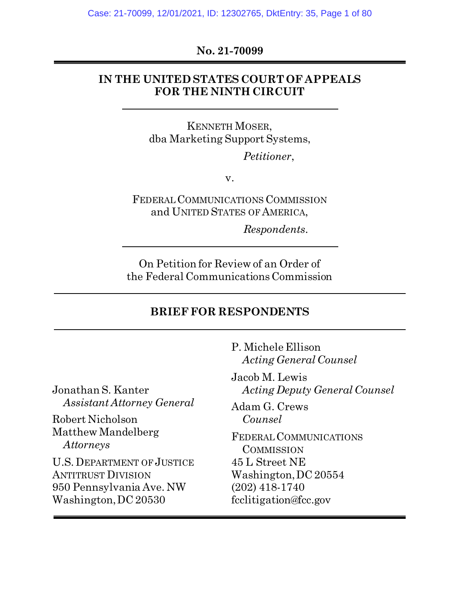#### **No. 21-70099**

# **IN THE UNITED STATES COURT OF APPEALS FOR THE NINTH CIRCUIT**

KENNETH MOSER, dba Marketing Support Systems,

*Petitioner*,

v.

FEDERAL COMMUNICATIONS COMMISSION and UNITED STATES OF AMERICA,

*Respondents*.

On Petition for Review of an Order of the Federal Communications Commission

### **BRIEF FOR RESPONDENTS**

Jonathan S. Kanter *Assistant Attorney General*

Robert Nicholson Matthew Mandelberg *Attorneys*

U.S. DEPARTMENT OF JUSTICE ANTITRUST DIVISION 950 Pennsylvania Ave. NW Washington, DC 20530

P. Michele Ellison *Acting General Counsel*

Jacob M. Lewis *Acting Deputy General Counsel*

Adam G. Crews *Counsel*

FEDERAL COMMUNICATIONS **COMMISSION** 45 L Street NE Washington, DC 20554 (202) 418-1740 fcclitigation@fcc.gov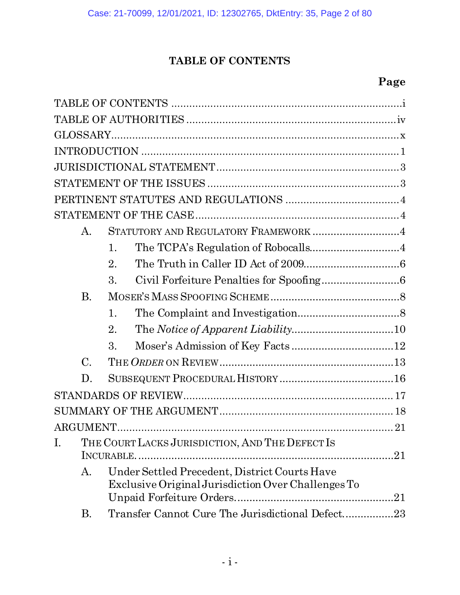# **TABLE OF CONTENTS**

# **Page**

<span id="page-1-0"></span>

|                                                       | A.                                                  |                                                    | STATUTORY AND REGULATORY FRAMEWORK 4             |  |
|-------------------------------------------------------|-----------------------------------------------------|----------------------------------------------------|--------------------------------------------------|--|
|                                                       |                                                     | $\mathbf{1}$ .                                     | The TCPA's Regulation of Robocalls4              |  |
|                                                       |                                                     | 2.                                                 |                                                  |  |
|                                                       |                                                     | 3.                                                 |                                                  |  |
| <b>B.</b>                                             |                                                     |                                                    |                                                  |  |
|                                                       |                                                     | 1.                                                 |                                                  |  |
|                                                       |                                                     | 2.                                                 |                                                  |  |
|                                                       |                                                     | 3.                                                 |                                                  |  |
|                                                       | $\mathcal{C}$ .                                     |                                                    |                                                  |  |
|                                                       | D.                                                  |                                                    |                                                  |  |
|                                                       |                                                     |                                                    |                                                  |  |
|                                                       |                                                     |                                                    |                                                  |  |
|                                                       |                                                     |                                                    |                                                  |  |
| Ι.<br>THE COURT LACKS JURISDICTION, AND THE DEFECT IS |                                                     |                                                    |                                                  |  |
|                                                       | Under Settled Precedent, District Courts Have<br>A. |                                                    |                                                  |  |
|                                                       |                                                     |                                                    |                                                  |  |
|                                                       |                                                     | Exclusive Original Jurisdiction Over Challenges To |                                                  |  |
|                                                       |                                                     |                                                    |                                                  |  |
|                                                       | Β.                                                  |                                                    | Transfer Cannot Cure The Jurisdictional Defect23 |  |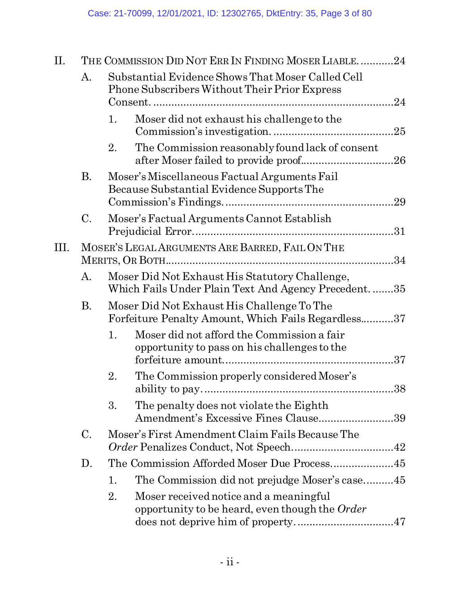| Π.   | THE COMMISSION DID NOT ERR IN FINDING MOSER LIABLE24 |                                                                                                           |                                                                                                   |      |
|------|------------------------------------------------------|-----------------------------------------------------------------------------------------------------------|---------------------------------------------------------------------------------------------------|------|
|      | A.                                                   | Substantial Evidence Shows That Moser Called Cell<br><b>Phone Subscribers Without Their Prior Express</b> |                                                                                                   |      |
|      |                                                      | 1.                                                                                                        | Moser did not exhaust his challenge to the                                                        |      |
|      |                                                      | 2.                                                                                                        | The Commission reasonably found lack of consent                                                   |      |
|      | Β.                                                   |                                                                                                           | Moser's Miscellaneous Factual Arguments Fail<br>Because Substantial Evidence Supports The         | 29   |
|      | C.                                                   |                                                                                                           | Moser's Factual Arguments Cannot Establish                                                        |      |
| III. | MOSER'S LEGAL ARGUMENTS ARE BARRED, FAIL ON THE      |                                                                                                           |                                                                                                   |      |
|      | А.                                                   | Moser Did Not Exhaust His Statutory Challenge,<br>Which Fails Under Plain Text And Agency Precedent35     |                                                                                                   |      |
|      | B.                                                   |                                                                                                           | Moser Did Not Exhaust His Challenge To The<br>Forfeiture Penalty Amount, Which Fails Regardless37 |      |
|      |                                                      | 1.                                                                                                        | Moser did not afford the Commission a fair<br>opportunity to pass on his challenges to the        |      |
|      |                                                      | 2.                                                                                                        | The Commission properly considered Moser's                                                        | $38$ |
|      |                                                      | 3.                                                                                                        | The penalty does not violate the Eighth<br>Amendment's Excessive Fines Clause39                   |      |
|      | C.                                                   |                                                                                                           | Moser's First Amendment Claim Fails Because The                                                   |      |
|      | D.                                                   |                                                                                                           |                                                                                                   |      |
|      |                                                      | 1.                                                                                                        | The Commission did not prejudge Moser's case45                                                    |      |
|      |                                                      | 2.                                                                                                        | Moser received notice and a meaningful<br>opportunity to be heard, even though the Order          |      |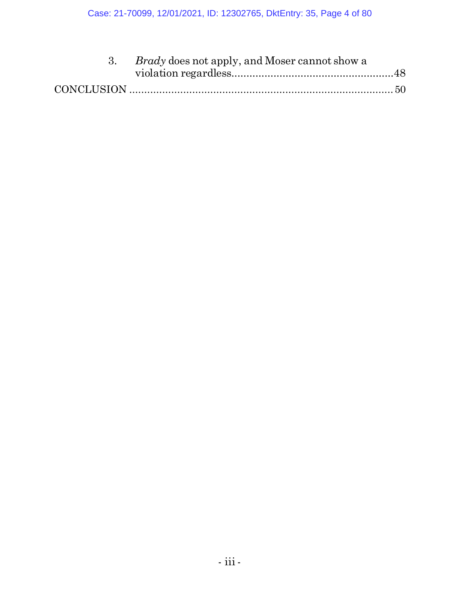| 3. <i>Brady</i> does not apply, and Moser cannot show a |  |
|---------------------------------------------------------|--|
|                                                         |  |
|                                                         |  |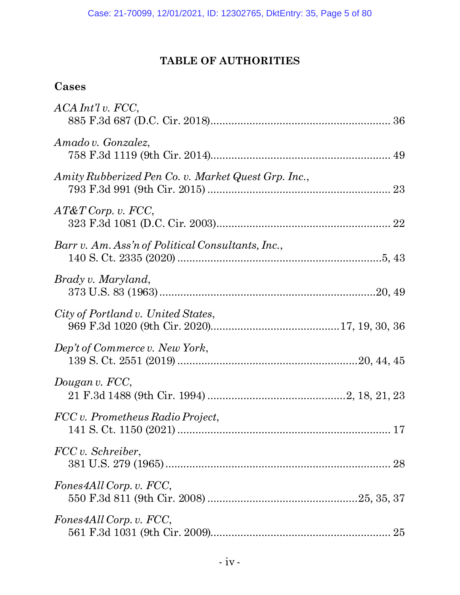# **TABLE OF AUTHORITIES**

# <span id="page-4-0"></span>**Cases**

| $ACAInt'l$ v. $FCC$ ,                               |  |
|-----------------------------------------------------|--|
| Amado v. Gonzalez,                                  |  |
| Amity Rubberized Pen Co. v. Market Quest Grp. Inc., |  |
| $AT\&T$ Corp. v. FCC,                               |  |
| Barr v. Am. Ass'n of Political Consultants, Inc.,   |  |
| Brady v. Maryland,                                  |  |
| City of Portland v. United States,                  |  |
| Dep't of Commerce v. New York,                      |  |
| Dougan v. FCC,                                      |  |
| FCC v. Prometheus Radio Project,                    |  |
| FCC v. Schreiber,                                   |  |
| Fones4All Corp. v. FCC,                             |  |
| Fones4All Corp. v. FCC,                             |  |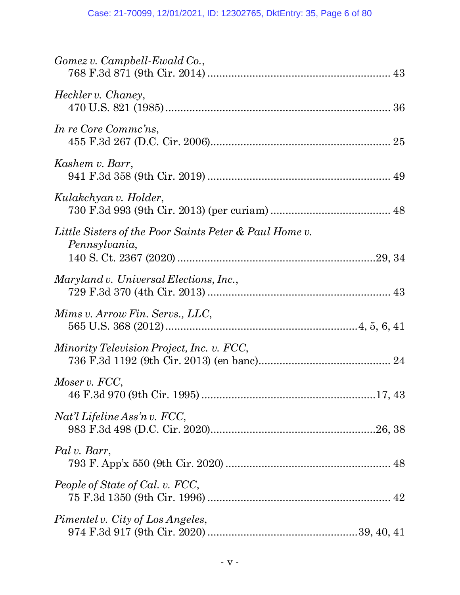| Gomez v. Campbell-Ewald Co.,                                            |
|-------------------------------------------------------------------------|
| Heckler v. Chaney,                                                      |
| In re Core Commc'ns,                                                    |
| Kashem v. Barr,                                                         |
| Kulakchyan v. Holder,                                                   |
| Little Sisters of the Poor Saints Peter & Paul Home v.<br>Pennsylvania, |
| Maryland v. Universal Elections, Inc.,                                  |
| Mims v. Arrow Fin. Servs., LLC,                                         |
| Minority Television Project, Inc. v. FCC,                               |
| Moser v. FCC,                                                           |
| Nat'l Lifeline Ass'n v. FCC,                                            |
| Pal v. Barr,                                                            |
| People of State of Cal. v. FCC,                                         |
| Pimentel v. City of Los Angeles,                                        |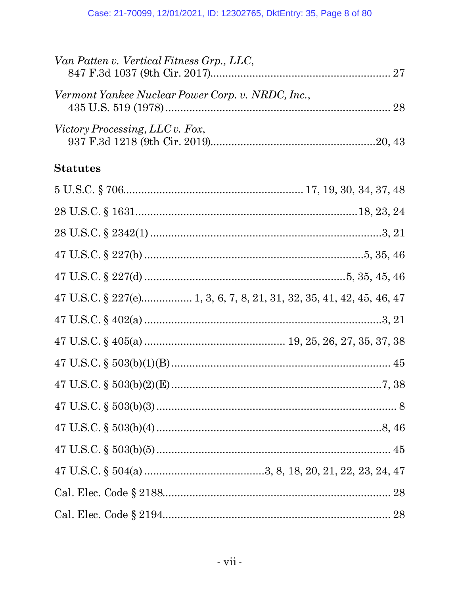| Van Patten v. Vertical Fitness Grp., LLC,                            |  |
|----------------------------------------------------------------------|--|
| Vermont Yankee Nuclear Power Corp. v. NRDC, Inc.,                    |  |
| Victory Processing, LLC v. Fox,                                      |  |
| <b>Statutes</b>                                                      |  |
|                                                                      |  |
|                                                                      |  |
|                                                                      |  |
|                                                                      |  |
|                                                                      |  |
| 47 U.S.C. § 227(e) 1, 3, 6, 7, 8, 21, 31, 32, 35, 41, 42, 45, 46, 47 |  |
|                                                                      |  |
|                                                                      |  |
|                                                                      |  |
|                                                                      |  |
|                                                                      |  |
|                                                                      |  |
|                                                                      |  |
|                                                                      |  |
|                                                                      |  |
|                                                                      |  |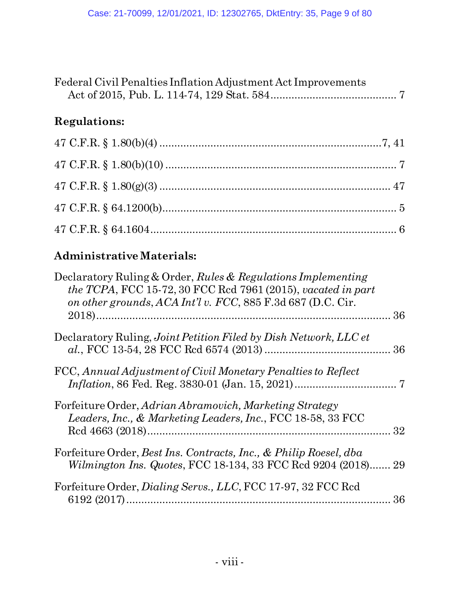| Federal Civil Penalties Inflation Adjustment Act Improvements                                                                                                                               |
|---------------------------------------------------------------------------------------------------------------------------------------------------------------------------------------------|
| <b>Regulations:</b>                                                                                                                                                                         |
|                                                                                                                                                                                             |
|                                                                                                                                                                                             |
|                                                                                                                                                                                             |
|                                                                                                                                                                                             |
|                                                                                                                                                                                             |
| <b>Administrative Materials:</b>                                                                                                                                                            |
| Declaratory Ruling & Order, Rules & Regulations Implementing<br>the TCPA, FCC 15-72, 30 FCC Rcd 7961 (2015), vacated in part<br>on other grounds, ACA Int'l v. FCC, 885 F.3d 687 (D.C. Cir. |
| Declaratory Ruling, Joint Petition Filed by Dish Network, LLC et                                                                                                                            |
| FCC, Annual Adjustment of Civil Monetary Penalties to Reflect                                                                                                                               |
| Forfeiture Order, Adrian Abramovich, Marketing Strategy<br>Leaders, Inc., & Marketing Leaders, Inc., FCC 18-58, 33 FCC                                                                      |
| Forfeiture Order, Best Ins. Contracts, Inc., & Philip Roesel, dba<br>Wilmington Ins. Quotes, FCC 18-134, 33 FCC Rcd 9204 (2018) 29                                                          |
| Forfeiture Order, <i>Dialing Servs., LLC</i> , FCC 17-97, 32 FCC Rcd                                                                                                                        |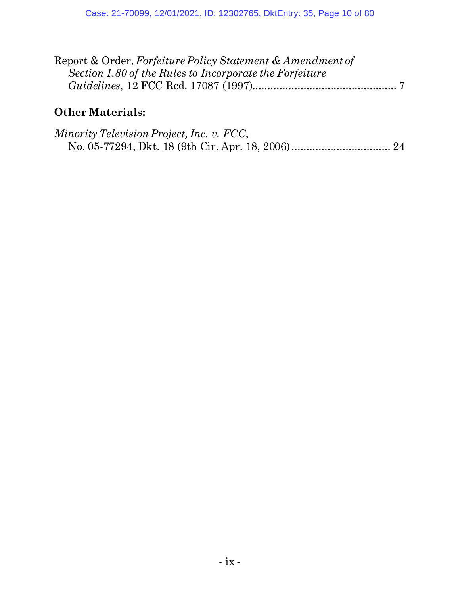| Report & Order, Forfeiture Policy Statement & Amendment of |  |
|------------------------------------------------------------|--|
| Section 1.80 of the Rules to Incorporate the Forfeiture    |  |
|                                                            |  |

# **Other Materials:**

| Minority Television Project, Inc. v. FCC, |  |
|-------------------------------------------|--|
|                                           |  |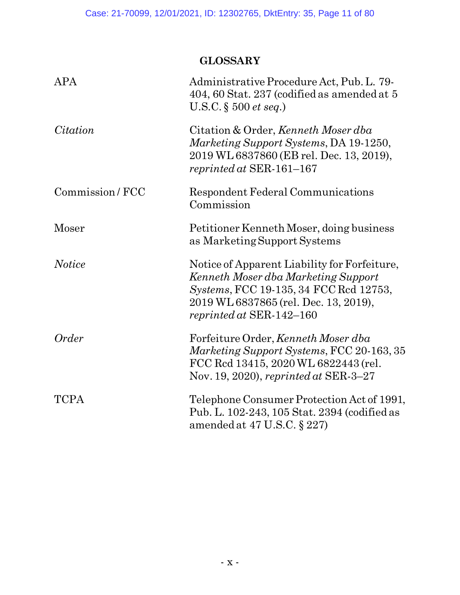# **GLOSSARY**

<span id="page-10-0"></span>

| APA            | Administrative Procedure Act, Pub. L. 79-<br>404, 60 Stat. 237 (codified as amended at 5<br>U.S.C. $\S$ 500 et seq.)                                                                                      |
|----------------|-----------------------------------------------------------------------------------------------------------------------------------------------------------------------------------------------------------|
| Citation       | Citation & Order, Kenneth Moser dba<br>Marketing Support Systems, DA 19-1250,<br>2019 WL 6837860 (EB rel. Dec. 13, 2019),<br>reprinted at SER-161-167                                                     |
| Commission/FCC | Respondent Federal Communications<br>Commission                                                                                                                                                           |
| Moser          | Petitioner Kenneth Moser, doing business<br>as Marketing Support Systems                                                                                                                                  |
| <b>Notice</b>  | Notice of Apparent Liability for Forfeiture,<br>Kenneth Moser dba Marketing Support<br><i>Systems, FCC 19-135, 34 FCC Rcd 12753,</i><br>2019 WL 6837865 (rel. Dec. 13, 2019),<br>reprinted at SER-142–160 |
| <i>Order</i>   | Forfeiture Order, Kenneth Moser dba<br>Marketing Support Systems, FCC 20-163, 35<br>FCC Rcd 13415, 2020 WL 6822443 (rel.<br>Nov. 19, 2020), reprinted at SER-3-27                                         |
| <b>TCPA</b>    | Telephone Consumer Protection Act of 1991,<br>Pub. L. 102-243, 105 Stat. 2394 (codified as<br>amended at $47$ U.S.C. $\S 227$                                                                             |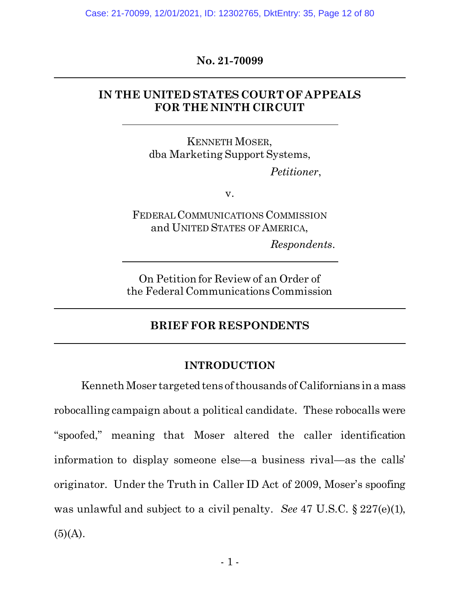Case: 21-70099, 12/01/2021, ID: 12302765, DktEntry: 35, Page 12 of 80

**No. 21-70099**

## **IN THE UNITED STATES COURT OF APPEALS FOR THE NINTH CIRCUIT**

KENNETH MOSER, dba Marketing Support Systems,

*Petitioner*,

v.

FEDERAL COMMUNICATIONS COMMISSION and UNITED STATES OF AMERICA,

*Respondents*.

On Petition for Review of an Order of the Federal Communications Commission

### **BRIEF FOR RESPONDENTS**

#### **INTRODUCTION**

<span id="page-11-0"></span>Kenneth Moser targeted tens of thousands of Californians in a mass robocalling campaign about a political candidate. These robocalls were "spoofed," meaning that Moser altered the caller identification information to display someone else—a business rival—as the calls' originator. Under the Truth in Caller ID Act of 2009, Moser's spoofing was unlawful and subject to a civil penalty. *See* 47 U.S.C. § 227(e)(1),  $(5)(A).$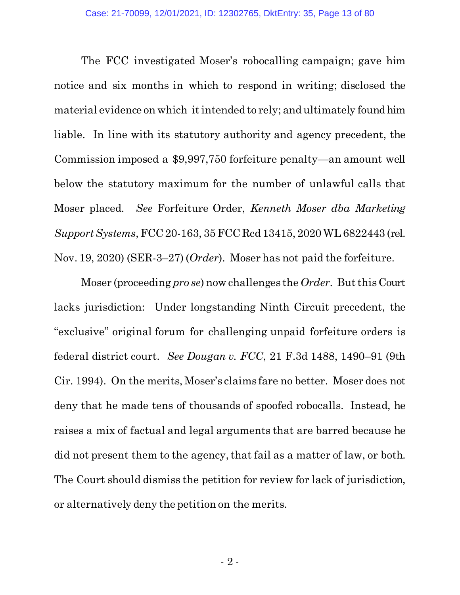The FCC investigated Moser's robocalling campaign; gave him notice and six months in which to respond in writing; disclosed the material evidence on which it intended to rely; and ultimately found him liable. In line with its statutory authority and agency precedent, the Commission imposed a \$9,997,750 forfeiture penalty—an amount well below the statutory maximum for the number of unlawful calls that Moser placed. *See* Forfeiture Order, *Kenneth Moser dba Marketing Support Systems*, FCC 20-163, 35 FCC Rcd 13415, 2020 WL 6822443 (rel. Nov. 19, 2020) (SER-3–27) (*Order*). Moser has not paid the forfeiture.

Moser (proceeding *pro se*) now challenges the *Order*. But this Court lacks jurisdiction: Under longstanding Ninth Circuit precedent, the "exclusive" original forum for challenging unpaid forfeiture orders is federal district court. *See Dougan v. FCC*, 21 F.3d 1488, 1490–91 (9th Cir. 1994). On the merits, Moser's claims fare no better. Moser does not deny that he made tens of thousands of spoofed robocalls. Instead, he raises a mix of factual and legal arguments that are barred because he did not present them to the agency, that fail as a matter of law, or both. The Court should dismiss the petition for review for lack of jurisdiction, or alternatively deny the petition on the merits.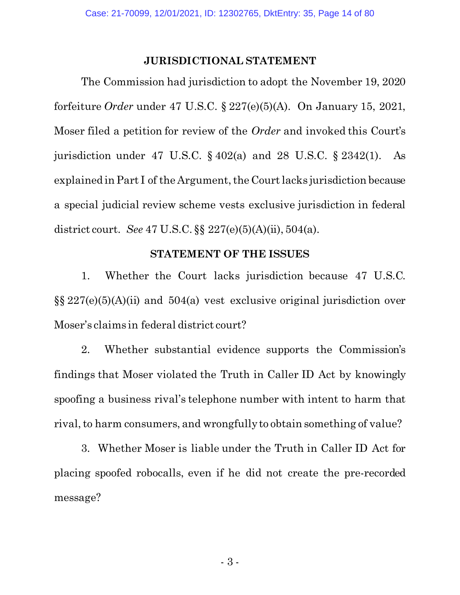#### **JURISDICTIONAL STATEMENT**

<span id="page-13-0"></span>The Commission had jurisdiction to adopt the November 19, 2020 forfeiture *Order* under 47 U.S.C. § 227(e)(5)(A). On January 15, 2021, Moser filed a petition for review of the *Order* and invoked this Court's jurisdiction under 47 U.S.C.  $\S 402(a)$  and 28 U.S.C.  $\S 2342(1)$ . As explained in Part I of the Argument, the Court lacks jurisdiction because a special judicial review scheme vests exclusive jurisdiction in federal district court. *See* 47 U.S.C. §§ 227(e)(5)(A)(ii), 504(a).

### **STATEMENT OF THE ISSUES**

<span id="page-13-1"></span>1. Whether the Court lacks jurisdiction because 47 U.S.C. §§ 227(e)(5)(A)(ii) and 504(a) vest exclusive original jurisdiction over Moser's claims in federal district court?

2. Whether substantial evidence supports the Commission's findings that Moser violated the Truth in Caller ID Act by knowingly spoofing a business rival's telephone number with intent to harm that rival, to harm consumers, and wrongfully to obtain something of value?

3. Whether Moser is liable under the Truth in Caller ID Act for placing spoofed robocalls, even if he did not create the pre-recorded message?

- 3 -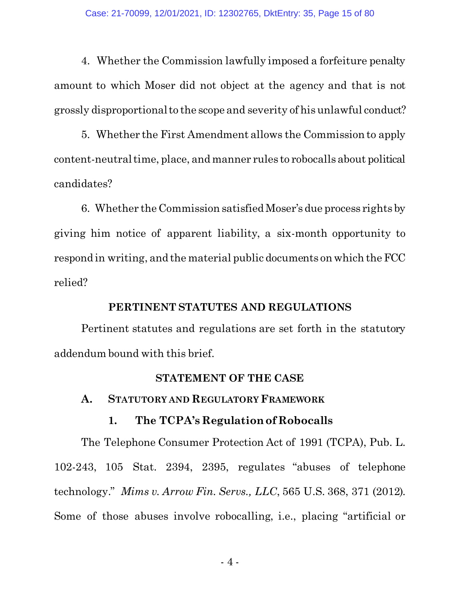4. Whether the Commission lawfully imposed a forfeiture penalty amount to which Moser did not object at the agency and that is not grossly disproportional to the scope and severity of his unlawful conduct?

5. Whether the First Amendment allows the Commission to apply content-neutral time, place, and manner rules to robocalls about political candidates?

6. Whether the Commission satisfied Moser's due process rights by giving him notice of apparent liability, a six-month opportunity to respond in writing, and the material public documents on which the FCC relied?

#### **PERTINENT STATUTES AND REGULATIONS**

<span id="page-14-0"></span>Pertinent statutes and regulations are set forth in the statutory addendum bound with this brief.

#### **STATEMENT OF THE CASE**

#### <span id="page-14-2"></span><span id="page-14-1"></span>**A. STATUTORY AND REGULATORY FRAMEWORK**

#### **1. The TCPA's Regulation of Robocalls**

<span id="page-14-3"></span>The Telephone Consumer Protection Act of 1991 (TCPA), Pub. L. 102-243, 105 Stat. 2394, 2395, regulates "abuses of telephone technology." *Mims v. Arrow Fin. Servs., LLC*, 565 U.S. 368, 371 (2012). Some of those abuses involve robocalling, i.e., placing "artificial or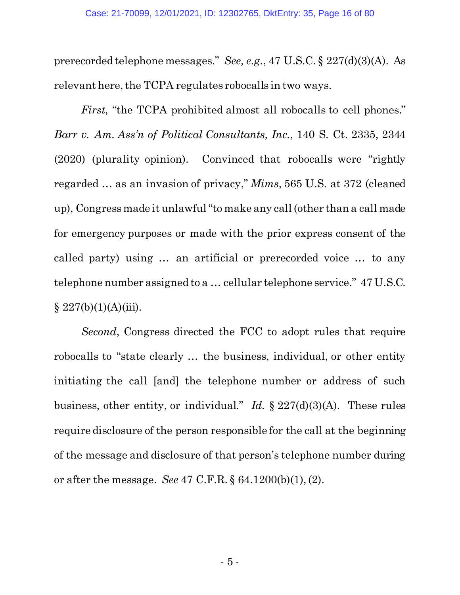prerecorded telephone messages." *See, e.g.*, 47 U.S.C. § 227(d)(3)(A). As relevant here, the TCPA regulates robocalls in two ways.

*First*, "the TCPA prohibited almost all robocalls to cell phones." *Barr v. Am. Ass'n of Political Consultants, Inc.*, 140 S. Ct. 2335, 2344 (2020) (plurality opinion).Convinced that robocalls were "rightly regarded … as an invasion of privacy," *Mims*, 565 U.S. at 372 (cleaned up), Congress made it unlawful "to make any call (other than a call made for emergency purposes or made with the prior express consent of the called party) using … an artificial or prerecorded voice … to any telephone number assigned to a … cellular telephone service." 47 U.S.C.  $§ 227(b)(1)(A)(iii).$ 

*Second*, Congress directed the FCC to adopt rules that require robocalls to "state clearly … the business, individual, or other entity initiating the call [and] the telephone number or address of such business, other entity, or individual." *Id.* § 227(d)(3)(A). These rules require disclosure of the person responsible for the call at the beginning of the message and disclosure of that person's telephone number during or after the message. *See* 47 C.F.R. § 64.1200(b)(1), (2).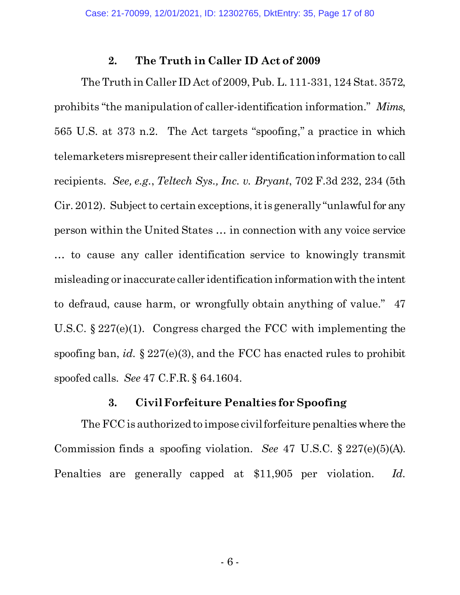### **2. The Truth in Caller ID Act of 2009**

<span id="page-16-0"></span>The Truth in Caller ID Act of 2009, Pub. L. 111-331, 124 Stat. 3572, prohibits "the manipulation of caller-identification information." *Mims*, 565 U.S. at 373 n.2. The Act targets "spoofing," a practice in which telemarketers misrepresent their caller identification information to call recipients. *See, e.g.*, *Teltech Sys., Inc. v. Bryant*, 702 F.3d 232, 234 (5th Cir. 2012). Subject to certain exceptions, it is generally "unlawful for any person within the United States … in connection with any voice service … to cause any caller identification service to knowingly transmit misleading or inaccurate caller identification information with the intent to defraud, cause harm, or wrongfully obtain anything of value." 47 U.S.C. § 227(e)(1). Congress charged the FCC with implementing the spoofing ban, *id.* § 227(e)(3), and the FCC has enacted rules to prohibit spoofed calls. *See* 47 C.F.R. § 64.1604.

### **3. Civil Forfeiture Penalties for Spoofing**

<span id="page-16-1"></span>The FCC is authorized to impose civil forfeiture penalties where the Commission finds a spoofing violation. *See* 47 U.S.C. § 227(e)(5)(A). Penalties are generally capped at \$11,905 per violation. *Id.*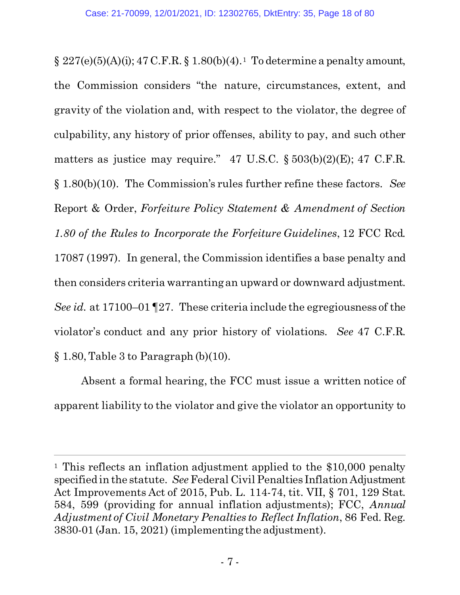$\S 227(e)(5)(A)(i); 47 C.F.R. \S 1.80(b)(4).$  $\S 227(e)(5)(A)(i); 47 C.F.R. \S 1.80(b)(4).$  $\S 227(e)(5)(A)(i); 47 C.F.R. \S 1.80(b)(4).$ <sup>1</sup> To determine a penalty amount, the Commission considers "the nature, circumstances, extent, and gravity of the violation and, with respect to the violator, the degree of culpability, any history of prior offenses, ability to pay, and such other matters as justice may require." 47 U.S.C. § 503(b)(2)(E); 47 C.F.R. § 1.80(b)(10). The Commission's rules further refine these factors. *See*  Report & Order, *Forfeiture Policy Statement & Amendment of Section 1.80 of the Rules to Incorporate the Forfeiture Guidelines*, 12 FCC Rcd. 17087 (1997). In general, the Commission identifies a base penalty and then considers criteria warranting an upward or downward adjustment. *See id.* at 17100–01 ¶27. These criteria include the egregiousness of the violator's conduct and any prior history of violations. *See* 47 C.F.R.  $§ 1.80$ , Table 3 to Paragraph (b)(10).

Absent a formal hearing, the FCC must issue a written notice of apparent liability to the violator and give the violator an opportunity to

<span id="page-17-0"></span><sup>&</sup>lt;sup>1</sup> This reflects an inflation adjustment applied to the \$10,000 penalty specified in the statute. *See* Federal Civil Penalties Inflation Adjustment Act Improvements Act of 2015, Pub. L. 114-74, tit. VII, § 701, 129 Stat. 584, 599 (providing for annual inflation adjustments); FCC, *Annual Adjustment of Civil Monetary Penalties to Reflect Inflation*, 86 Fed. Reg. 3830-01 (Jan. 15, 2021) (implementing the adjustment).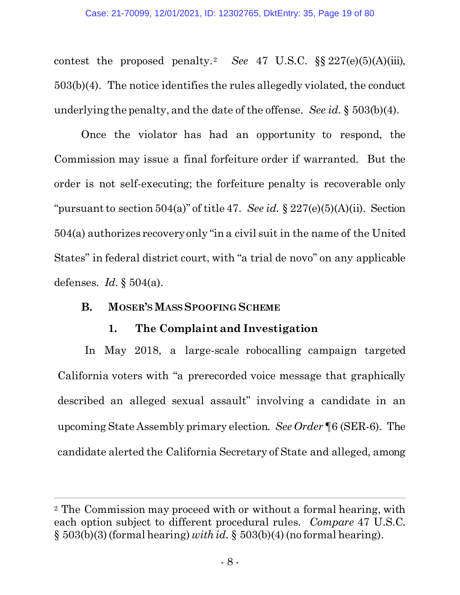contest the proposed penalty.[2](#page-18-2) *See* 47 U.S.C. §§ 227(e)(5)(A)(iii), 503(b)(4). The notice identifies the rules allegedly violated, the conduct underlying the penalty, and the date of the offense. *See id.* § 503(b)(4).

Once the violator has had an opportunity to respond, the Commission may issue a final forfeiture order if warranted. But the order is not self-executing; the forfeiture penalty is recoverable only "pursuant to section 504(a)" of title 47. *See id.* § 227(e)(5)(A)(ii). Section 504(a) authorizes recovery only "in a civil suit in the name of the United States" in federal district court, with "a trial de novo" on any applicable defenses. *Id.* § 504(a).

## <span id="page-18-0"></span>**B. MOSER'S MASS SPOOFING SCHEME**

# **1. The Complaint and Investigation**

<span id="page-18-1"></span>In May 2018, a large-scale robocalling campaign targeted California voters with "a prerecorded voice message that graphically described an alleged sexual assault" involving a candidate in an upcoming State Assembly primary election. *See Order* ¶6 (SER-6). The candidate alerted the California Secretary of State and alleged, among

<span id="page-18-2"></span><sup>2</sup> The Commission may proceed with or without a formal hearing, with each option subject to different procedural rules. *Compare* 47 U.S.C. § 503(b)(3) (formal hearing) *with id.* § 503(b)(4) (no formal hearing).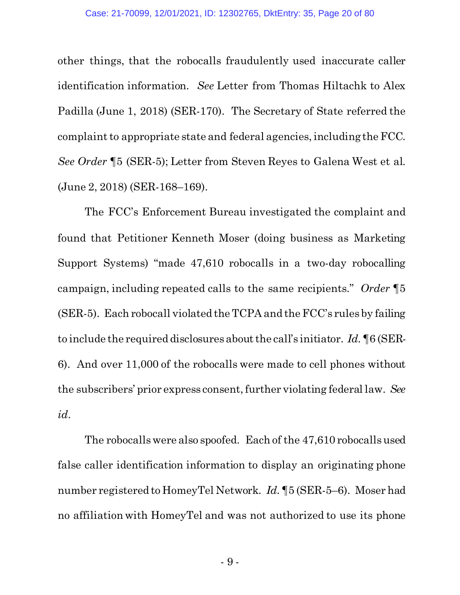other things, that the robocalls fraudulently used inaccurate caller identification information. *See* Letter from Thomas Hiltachk to Alex Padilla (June 1, 2018) (SER-170). The Secretary of State referred the complaint to appropriate state and federal agencies, includingthe FCC. *See Order* ¶5 (SER-5); Letter from Steven Reyes to Galena West et al. (June 2, 2018) (SER-168–169).

The FCC's Enforcement Bureau investigated the complaint and found that Petitioner Kenneth Moser (doing business as Marketing Support Systems) "made 47,610 robocalls in a two-day robocalling campaign, including repeated calls to the same recipients." *Order* ¶5 (SER-5). Each robocall violated the TCPA and the FCC's rules by failing to include the required disclosures about the call's initiator. *Id.* ¶6 (SER-6). And over 11,000 of the robocalls were made to cell phones without the subscribers' prior express consent, further violating federal law. *See id*.

The robocalls were also spoofed. Each of the 47,610 robocalls used false caller identification information to display an originating phone number registered to HomeyTel Network. *Id.* ¶5 (SER-5–6). Moser had no affiliation with HomeyTel and was not authorized to use its phone

- 9 -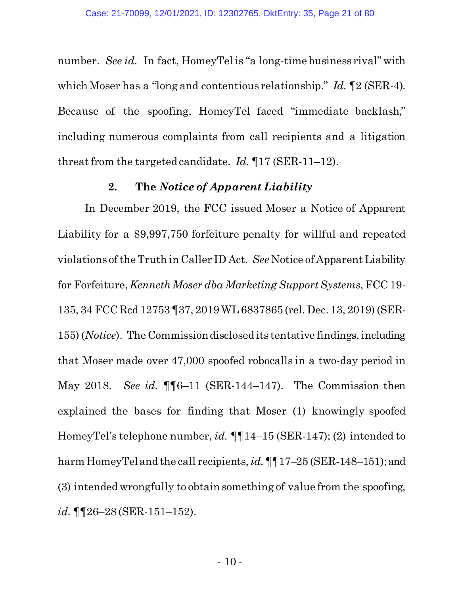number. *See id.* In fact, HomeyTel is "a long-time business rival" with which Moser has a "long and contentious relationship." *Id.* ¶2 (SER-4). Because of the spoofing, HomeyTel faced "immediate backlash," including numerous complaints from call recipients and a litigation threat from the targeted candidate. *Id.* ¶17 (SER-11–12).

#### **2. The** *Notice of Apparent Liability*

<span id="page-20-0"></span>In December 2019, the FCC issued Moser a Notice of Apparent Liability for a \$9,997,750 forfeiture penalty for willful and repeated violations of the Truth in Caller ID Act. *See* Notice of Apparent Liability for Forfeiture, *Kenneth Moser dba Marketing Support Systems*, FCC 19- 135, 34 FCC Rcd 12753 ¶37, 2019 WL 6837865 (rel. Dec. 13, 2019)(SER-155) (*Notice*). The Commission disclosed its tentative findings, including that Moser made over 47,000 spoofed robocalls in a two-day period in May 2018. *See id.* ¶¶6–11 (SER-144–147). The Commission then explained the bases for finding that Moser (1) knowingly spoofed HomeyTel's telephone number, *id.* ¶¶14–15 (SER-147); (2) intended to harm HomeyTel and the call recipients, *id.* ¶¶17–25 (SER-148–151); and (3) intended wrongfully to obtain something of value from the spoofing, *id.* ¶¶26–28 (SER-151–152).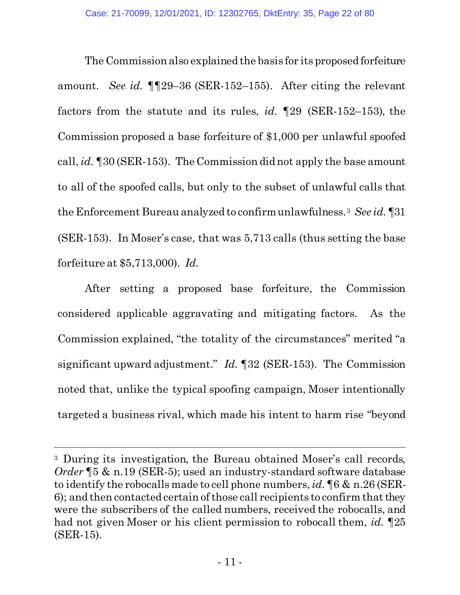The Commission also explained the basis for its proposed forfeiture amount. *See id.* ¶¶29–36 (SER-152–155). After citing the relevant factors from the statute and its rules, *id.* ¶29 (SER-152–153), the Commission proposed a base forfeiture of \$1,000 per unlawful spoofed call, *id.* ¶30 (SER-153). The Commission did not apply the base amount to all of the spoofed calls, but only to the subset of unlawful calls that the Enforcement Bureau analyzed to confirm unlawfulness.[3](#page-21-0) *See id.* ¶31 (SER-153). In Moser's case, that was 5,713 calls (thus setting the base forfeiture at \$5,713,000). *Id.*

After setting a proposed base forfeiture, the Commission considered applicable aggravating and mitigating factors. As the Commission explained, "the totality of the circumstances" merited "a significant upward adjustment." *Id.* ¶32 (SER-153). The Commission noted that, unlike the typical spoofing campaign, Moser intentionally targeted a business rival, which made his intent to harm rise "beyond

<span id="page-21-0"></span><sup>3</sup> During its investigation, the Bureau obtained Moser's call records, *Order* ¶5 & n.19 (SER-5); used an industry-standard software database to identify the robocalls made to cell phone numbers, *id.* ¶6 & n.26 (SER-6); and then contacted certain of those call recipients to confirm that they were the subscribers of the called numbers, received the robocalls, and had not given Moser or his client permission to robocall them, *id.* ¶25 (SER-15).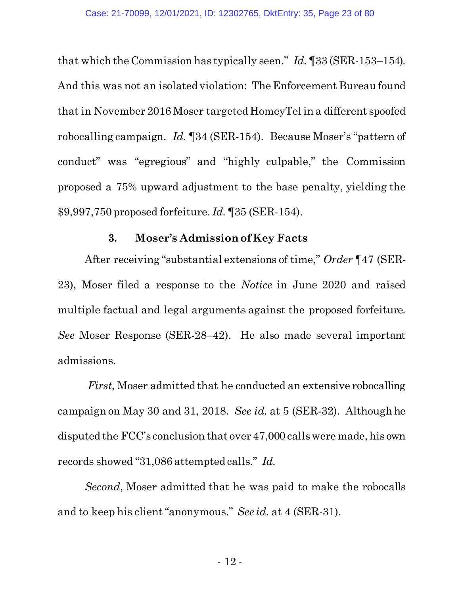that which the Commission has typically seen." *Id.* ¶33 (SER-153–154). And this was not an isolated violation: The Enforcement Bureau found that in November 2016 Moser targeted HomeyTel in a different spoofed robocalling campaign. *Id.* ¶34 (SER-154). Because Moser's "pattern of conduct" was "egregious" and "highly culpable," the Commission proposed a 75% upward adjustment to the base penalty, yielding the \$9,997,750 proposed forfeiture. *Id.* ¶35 (SER-154).

#### **3. Moser's Admission of Key Facts**

<span id="page-22-0"></span>After receiving "substantial extensions of time," *Order* ¶47 (SER-23), Moser filed a response to the *Notice* in June 2020 and raised multiple factual and legal arguments against the proposed forfeiture. *See* Moser Response (SER-28–42). He also made several important admissions.

*First*, Moser admitted that he conducted an extensive robocalling campaign on May 30 and 31, 2018. *See id.* at 5 (SER-32). Although he disputed the FCC's conclusion that over 47,000 calls were made, his own records showed "31,086 attempted calls." *Id.*

*Second*, Moser admitted that he was paid to make the robocalls and to keep his client "anonymous." *See id.* at 4 (SER-31).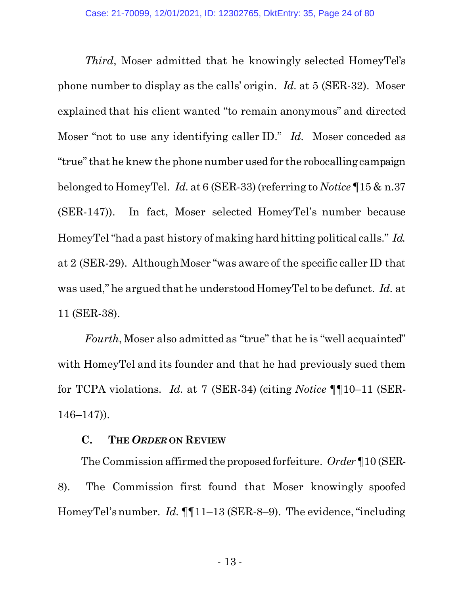*Third*, Moser admitted that he knowingly selected HomeyTel's phone number to display as the calls' origin. *Id.* at 5 (SER-32). Moser explained that his client wanted "to remain anonymous" and directed Moser "not to use any identifying caller ID." *Id.* Moser conceded as "true" that he knew the phone number used for the robocalling campaign belonged to HomeyTel. *Id.* at 6 (SER-33) (referring to *Notice* ¶15 & n.37 (SER-147)). In fact, Moser selected HomeyTel's number because HomeyTel "had a past history of making hard hitting political calls." *Id.* at 2 (SER-29). Although Moser "was aware of the specific caller ID that was used," he argued that he understood HomeyTel to be defunct. *Id.* at 11 (SER-38).

*Fourth*, Moser also admitted as "true" that he is "well acquainted" with HomeyTel and its founder and that he had previously sued them for TCPA violations. *Id.* at 7 (SER-34) (citing *Notice* ¶¶10–11 (SER- $146 - 147$ ).

#### **C. THE** *ORDER* **ON REVIEW**

<span id="page-23-0"></span>The Commission affirmed the proposed forfeiture. *Order* ¶10 (SER-8). The Commission first found that Moser knowingly spoofed HomeyTel's number. *Id.*  $\P$ <sup>11–13</sup> (SER-8–9). The evidence, "including"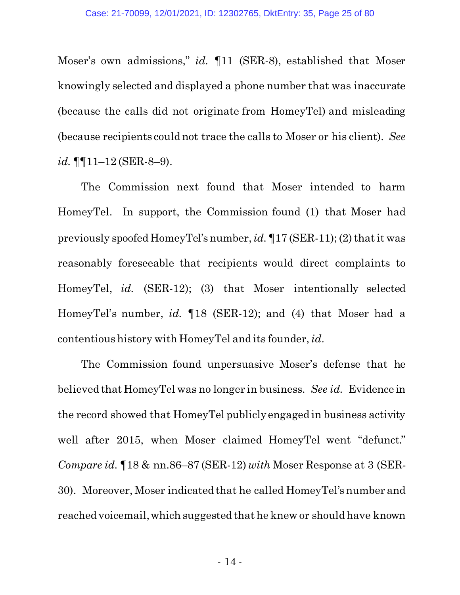Moser's own admissions," *id.* ¶11 (SER-8), established that Moser knowingly selected and displayed a phone number that was inaccurate (because the calls did not originate from HomeyTel) and misleading (because recipients could not trace the calls to Moser or his client). *See id.* ¶¶11–12 (SER-8–9).

The Commission next found that Moser intended to harm HomeyTel. In support, the Commission found (1) that Moser had previously spoofed HomeyTel's number, *id.* ¶17 (SER-11); (2) that it was reasonably foreseeable that recipients would direct complaints to HomeyTel, *id.* (SER-12); (3) that Moser intentionally selected HomeyTel's number, *id.* ¶18 (SER-12); and (4) that Moser had a contentious history with HomeyTel and its founder, *id*.

The Commission found unpersuasive Moser's defense that he believed that HomeyTel was no longer in business. *See id.* Evidence in the record showed that HomeyTel publicly engaged in business activity well after 2015, when Moser claimed HomeyTel went "defunct." *Compare id.* ¶18 & nn.86–87 (SER-12) *with* Moser Response at 3 (SER-30). Moreover, Moser indicated that he called HomeyTel's number and reached voicemail, which suggested that he knew or should have known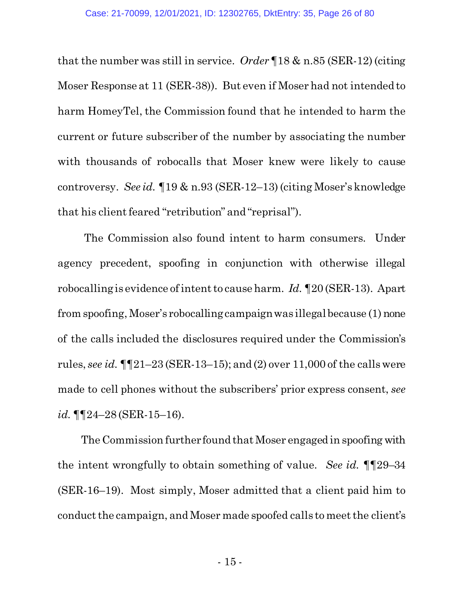that the number was still in service. *Order* ¶18 & n.85 (SER-12) (citing Moser Response at 11 (SER-38)). But even if Moser had not intended to harm HomeyTel, the Commission found that he intended to harm the current or future subscriber of the number by associating the number with thousands of robocalls that Moser knew were likely to cause controversy. *See id.* ¶19 & n.93 (SER-12–13) (citing Moser's knowledge that his client feared "retribution" and "reprisal").

The Commission also found intent to harm consumers. Under agency precedent, spoofing in conjunction with otherwise illegal robocalling is evidence of intent to cause harm. *Id.* ¶20 (SER-13). Apart from spoofing, Moser's robocalling campaign was illegal because (1) none of the calls included the disclosures required under the Commission's rules, *see id.* ¶¶21–23 (SER-13–15); and (2) over 11,000 of the calls were made to cell phones without the subscribers' prior express consent, *see id.* ¶¶24–28 (SER-15–16).

The Commission further found that Moser engaged in spoofing with the intent wrongfully to obtain something of value. *See id.* ¶¶29–34 (SER-16–19). Most simply, Moser admitted that a client paid him to conduct the campaign, and Moser made spoofed calls to meet the client's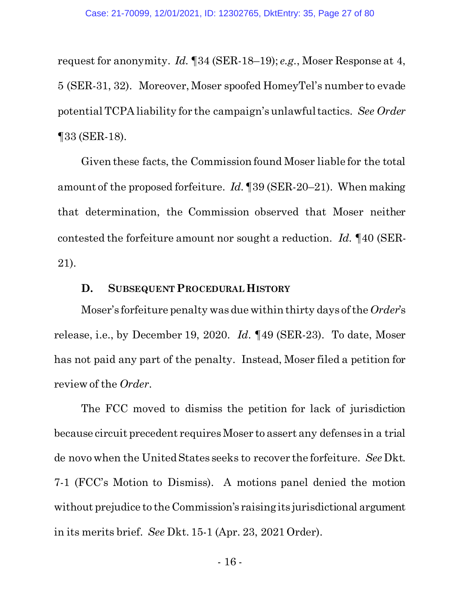request for anonymity. *Id.* ¶34 (SER-18–19); *e.g.*, Moser Response at 4, 5 (SER-31, 32). Moreover, Moser spoofed HomeyTel's number to evade potential TCPA liability for the campaign's unlawful tactics. *See Order* ¶33 (SER-18).

Given these facts, the Commission found Moser liable for the total amount of the proposed forfeiture. *Id.* ¶39 (SER-20–21). When making that determination, the Commission observed that Moser neither contested the forfeiture amount nor sought a reduction. *Id.* ¶40 (SER-21).

### **D. SUBSEQUENT PROCEDURAL HISTORY**

<span id="page-26-0"></span>Moser's forfeiture penalty was due within thirty days of the *Order*'s release, i.e., by December 19, 2020. *Id*. ¶49 (SER-23). To date, Moser has not paid any part of the penalty. Instead, Moser filed a petition for review of the *Order*.

The FCC moved to dismiss the petition for lack of jurisdiction because circuit precedent requires Moser to assert any defenses in a trial de novo when the United States seeks to recover the forfeiture. *See* Dkt. 7-1 (FCC's Motion to Dismiss). A motions panel denied the motion without prejudice to the Commission's raising its jurisdictional argument in its merits brief. *See* Dkt. 15-1 (Apr. 23, 2021 Order).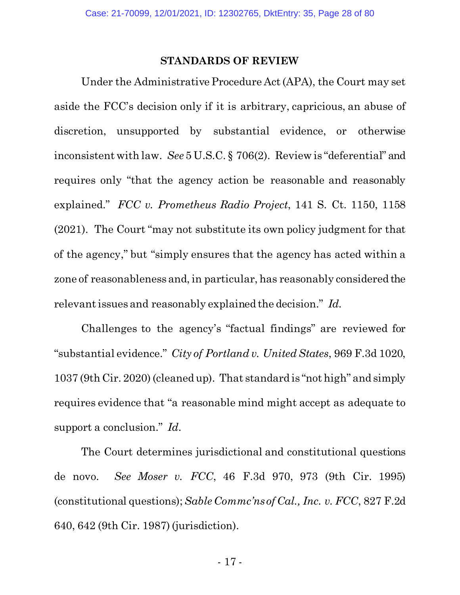#### **STANDARDS OF REVIEW**

<span id="page-27-0"></span>Under the Administrative Procedure Act (APA), the Court may set aside the FCC's decision only if it is arbitrary, capricious, an abuse of discretion, unsupported by substantial evidence, or otherwise inconsistent with law. *See* 5 U.S.C. § 706(2). Review is "deferential" and requires only "that the agency action be reasonable and reasonably explained." *FCC v. Prometheus Radio Project*, 141 S. Ct. 1150, 1158 (2021). The Court "may not substitute its own policy judgment for that of the agency," but "simply ensures that the agency has acted within a zone of reasonableness and, in particular, has reasonably considered the relevant issues and reasonably explained the decision." *Id.* 

Challenges to the agency's "factual findings" are reviewed for "substantial evidence." *City of Portland v. United States*, 969 F.3d 1020, 1037 (9th Cir. 2020) (cleaned up). That standard is "not high" and simply requires evidence that "a reasonable mind might accept as adequate to support a conclusion." *Id*.

The Court determines jurisdictional and constitutional questions de novo. *See Moser v. FCC*, 46 F.3d 970, 973 (9th Cir. 1995) (constitutional questions); *Sable Commc'ns of Cal., Inc. v. FCC*, 827 F.2d 640, 642 (9th Cir. 1987) (jurisdiction).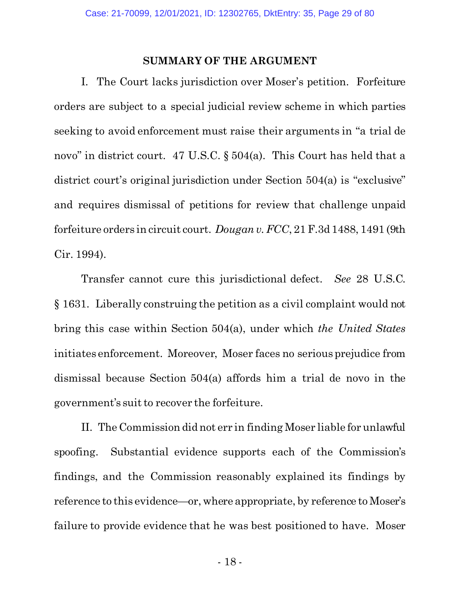#### **SUMMARY OF THE ARGUMENT**

<span id="page-28-0"></span>I. The Court lacks jurisdiction over Moser's petition. Forfeiture orders are subject to a special judicial review scheme in which parties seeking to avoid enforcement must raise their arguments in "a trial de novo" in district court. 47 U.S.C. § 504(a). This Court has held that a district court's original jurisdiction under Section 504(a) is "exclusive" and requires dismissal of petitions for review that challenge unpaid forfeiture orders in circuit court. *Dougan v. FCC*, 21 F.3d 1488, 1491 (9th Cir. 1994).

Transfer cannot cure this jurisdictional defect. *See* 28 U.S.C. § 1631. Liberally construing the petition as a civil complaint would not bring this case within Section 504(a), under which *the United States* initiates enforcement. Moreover, Moser faces no serious prejudice from dismissal because Section 504(a) affords him a trial de novo in the government's suit to recover the forfeiture.

II. The Commission did not err in finding Moser liable for unlawful spoofing. Substantial evidence supports each of the Commission's findings, and the Commission reasonably explained its findings by reference to this evidence—or, where appropriate, by reference to Moser's failure to provide evidence that he was best positioned to have. Moser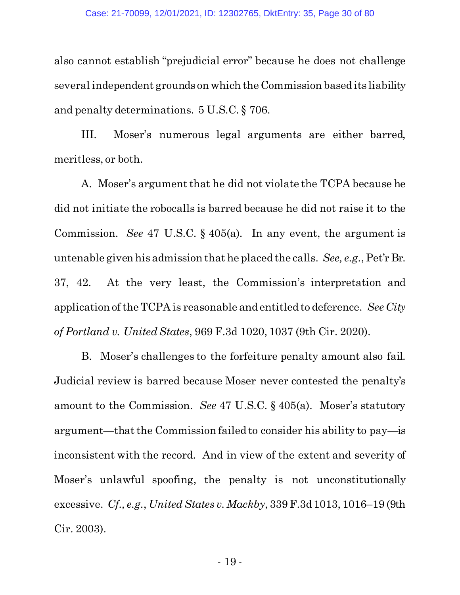also cannot establish "prejudicial error" because he does not challenge several independent grounds on which the Commission based its liability and penalty determinations. 5 U.S.C. § 706.

III. Moser's numerous legal arguments are either barred, meritless, or both.

A. Moser's argument that he did not violate the TCPA because he did not initiate the robocalls is barred because he did not raise it to the Commission. *See* 47 U.S.C. § 405(a)*.* In any event, the argument is untenable given his admission that he placed the calls. *See, e.g.*, Pet'r Br. 37, 42. At the very least, the Commission's interpretation and application of the TCPA is reasonable and entitled to deference. *See City of Portland v. United States*, 969 F.3d 1020, 1037 (9th Cir. 2020).

B. Moser's challenges to the forfeiture penalty amount also fail. Judicial review is barred because Moser never contested the penalty's amount to the Commission. *See* 47 U.S.C. § 405(a). Moser's statutory argument—that the Commission failed to consider his ability to pay—is inconsistent with the record. And in view of the extent and severity of Moser's unlawful spoofing, the penalty is not unconstitutionally excessive. *Cf., e.g.*, *United States v. Mackby*, 339 F.3d 1013, 1016–19 (9th Cir. 2003).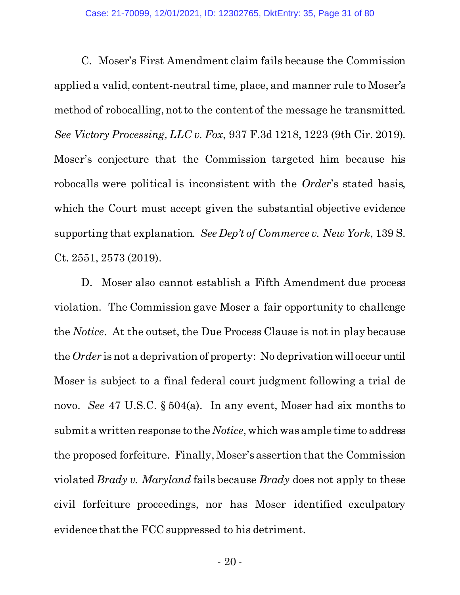C. Moser's First Amendment claim fails because the Commission applied a valid, content-neutral time, place, and manner rule to Moser's method of robocalling, not to the content of the message he transmitted. *See Victory Processing, LLC v. Fox*, 937 F.3d 1218, 1223 (9th Cir. 2019). Moser's conjecture that the Commission targeted him because his robocalls were political is inconsistent with the *Order*'s stated basis, which the Court must accept given the substantial objective evidence supporting that explanation. *See Dep't of Commerce v. New York*, 139 S. Ct. 2551, 2573 (2019).

D. Moser also cannot establish a Fifth Amendment due process violation. The Commission gave Moser a fair opportunity to challenge the *Notice*. At the outset, the Due Process Clause is not in play because the *Order* is not a deprivation of property: No deprivation will occur until Moser is subject to a final federal court judgment following a trial de novo. *See* 47 U.S.C. § 504(a). In any event, Moser had six months to submit a written response to the *Notice*, which was ample time to address the proposed forfeiture. Finally, Moser's assertion that the Commission violated *Brady v. Maryland* fails because *Brady* does not apply to these civil forfeiture proceedings, nor has Moser identified exculpatory evidence that the FCC suppressed to his detriment.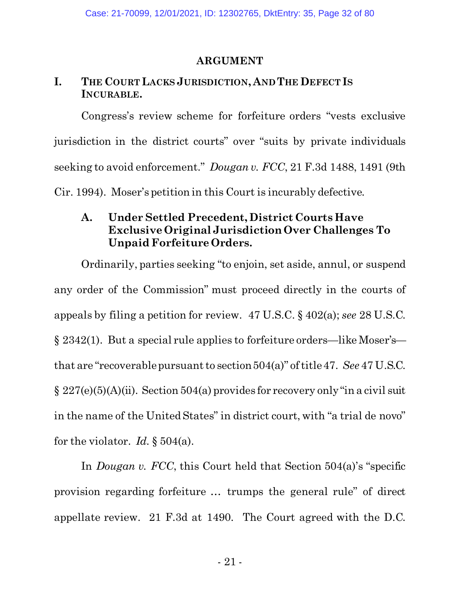#### **ARGUMENT**

# <span id="page-31-1"></span><span id="page-31-0"></span>**I. THE COURT LACKS JURISDICTION, AND THE DEFECT IS INCURABLE.**

Congress's review scheme for forfeiture orders "vests exclusive jurisdiction in the district courts" over "suits by private individuals seeking to avoid enforcement." *Dougan v. FCC*, 21 F.3d 1488, 1491 (9th Cir. 1994). Moser's petition in this Court is incurably defective.

# <span id="page-31-2"></span>**A. Under Settled Precedent, District Courts Have Exclusive Original Jurisdiction Over Challenges To Unpaid Forfeiture Orders.**

Ordinarily, parties seeking "to enjoin, set aside, annul, or suspend any order of the Commission" must proceed directly in the courts of appeals by filing a petition for review. 47 U.S.C. § 402(a); *see* 28 U.S.C. § 2342(1). But a special rule applies to forfeiture orders—like Moser's that are "recoverable pursuant to section 504(a)" of title 47. *See* 47 U.S.C. § 227(e)(5)(A)(ii). Section 504(a) provides for recovery only "in a civil suit in the name of the United States" in district court, with "a trial de novo" for the violator. *Id.* § 504(a).

In *Dougan v. FCC*, this Court held that Section 504(a)'s "specific provision regarding forfeiture … trumps the general rule" of direct appellate review. 21 F.3d at 1490. The Court agreed with the D.C.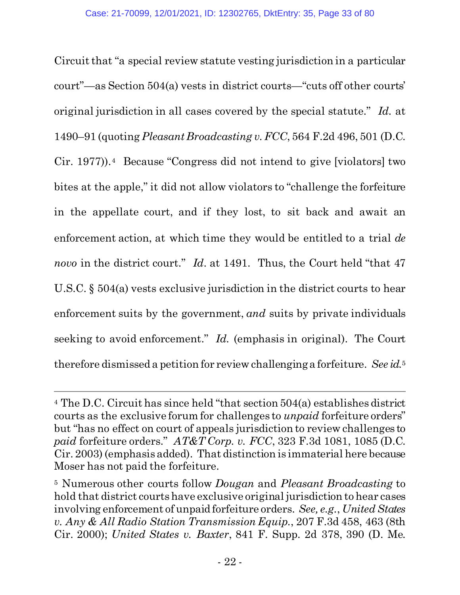Circuit that "a special review statute vesting jurisdiction in a particular court"—as Section 504(a) vests in district courts—"cuts off other courts' original jurisdiction in all cases covered by the special statute." *Id.* at 1490–91 (quoting *Pleasant Broadcasting v. FCC*, 564 F.2d 496, 501 (D.C. Cir. 1977)).[4](#page-32-0) Because "Congress did not intend to give [violators] two bites at the apple," it did not allow violators to "challenge the forfeiture in the appellate court, and if they lost, to sit back and await an enforcement action, at which time they would be entitled to a trial *de novo* in the district court." *Id*. at 1491. Thus, the Court held "that 47 U.S.C. § 504(a) vests exclusive jurisdiction in the district courts to hear enforcement suits by the government, *and* suits by private individuals seeking to avoid enforcement." *Id.* (emphasis in original). The Court therefore dismissed a petition for review challenging a forfeiture. *See id.*[5](#page-32-1)

<span id="page-32-0"></span><sup>4</sup> The D.C. Circuit has since held "that section 504(a) establishes district courts as the exclusive forum for challenges to *unpaid* forfeiture orders" but "has no effect on court of appeals jurisdiction to review challenges to *paid* forfeiture orders." *AT&T Corp. v. FCC*, 323 F.3d 1081, 1085 (D.C. Cir. 2003) (emphasis added). That distinction is immaterial here because Moser has not paid the forfeiture.

<span id="page-32-1"></span><sup>5</sup> Numerous other courts follow *Dougan* and *Pleasant Broadcasting* to hold that district courts have exclusive original jurisdiction to hear cases involving enforcement of unpaid forfeiture orders. *See, e.g.*, *United States v. Any & All Radio Station Transmission Equip.*, 207 F.3d 458, 463 (8th Cir. 2000); *United States v. Baxter*, 841 F. Supp. 2d 378, 390 (D. Me.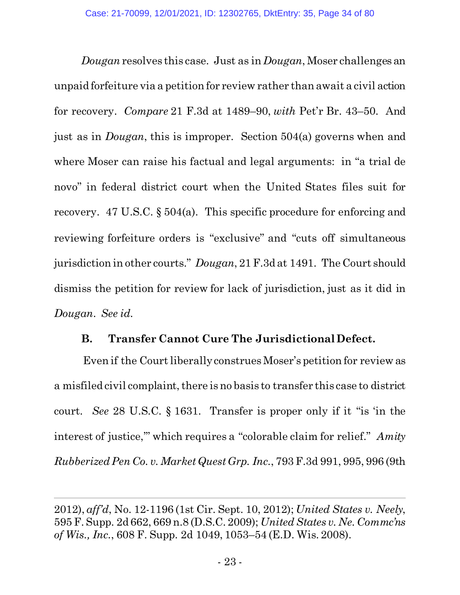*Dougan* resolves this case. Just as in *Dougan*, Moser challenges an unpaid forfeiture via a petition for review rather than await a civil action for recovery. *Compare* 21 F.3d at 1489–90, *with* Pet'r Br. 43–50. And just as in *Dougan*, this is improper. Section 504(a) governs when and where Moser can raise his factual and legal arguments: in "a trial de novo" in federal district court when the United States files suit for recovery. 47 U.S.C. § 504(a). This specific procedure for enforcing and reviewing forfeiture orders is "exclusive" and "cuts off simultaneous jurisdiction in other courts." *Dougan*, 21 F.3d at 1491. The Court should dismiss the petition for review for lack of jurisdiction, just as it did in *Dougan*. *See id.*

## **B. Transfer Cannot Cure The Jurisdictional Defect.**

<span id="page-33-0"></span>Even if the Court liberally construes Moser's petition for review as a misfiled civil complaint, there isno basis to transfer this case to district court. *See* 28 U.S.C. § 1631. Transfer is proper only if it "is 'in the interest of justice,'" which requires a "colorable claim for relief." *Amity Rubberized Pen Co. v. Market Quest Grp. Inc.*, 793 F.3d 991, 995, 996 (9th

<sup>2012),</sup> *aff'd*, No. 12-1196 (1st Cir. Sept. 10, 2012); *United States v. Neely*, 595 F. Supp. 2d 662, 669 n.8 (D.S.C. 2009); *United States v. Ne. Commc'ns of Wis., Inc.*, 608 F. Supp. 2d 1049, 1053–54 (E.D. Wis. 2008).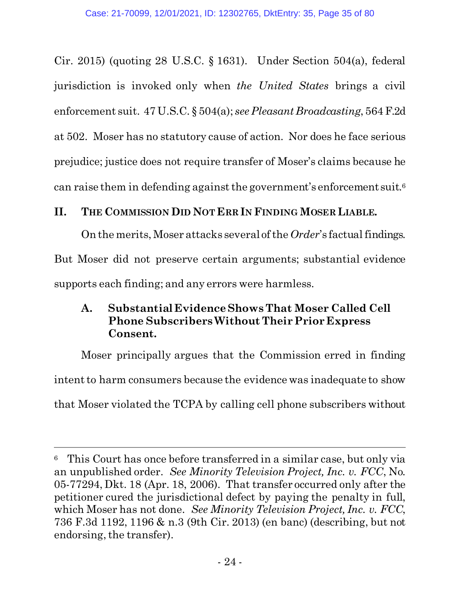Cir. 2015) (quoting 28 U.S.C. § 1631). Under Section 504(a), federal jurisdiction is invoked only when *the United States* brings a civil enforcement suit. 47 U.S.C. § 504(a); *see Pleasant Broadcasting*, 564 F.2d at 502. Moser has no statutory cause of action. Nor does he face serious prejudice; justice does not require transfer of Moser's claims because he can raise them in defending against the government's enforcement suit[.6](#page-34-2)

# <span id="page-34-0"></span>**II. THE COMMISSION DID NOT ERR IN FINDING MOSER LIABLE.**

On the merits, Moser attacks several of the *Order*'s factual findings.

But Moser did not preserve certain arguments; substantial evidence supports each finding; and any errors were harmless.

# <span id="page-34-1"></span>**A. Substantial Evidence Shows That Moser Called Cell Phone Subscribers Without Their PriorExpress Consent.**

Moser principally argues that the Commission erred in finding intent to harm consumers because the evidence was inadequate to show that Moser violated the TCPA by calling cell phone subscribers without

<span id="page-34-2"></span><sup>6</sup> This Court has once before transferred in a similar case, but only via an unpublished order. *See Minority Television Project, Inc. v. FCC*, No. 05-77294, Dkt. 18 (Apr. 18, 2006). That transfer occurred only after the petitioner cured the jurisdictional defect by paying the penalty in full, which Moser has not done. *See Minority Television Project, Inc. v. FCC*, 736 F.3d 1192, 1196 & n.3 (9th Cir. 2013) (en banc) (describing, but not endorsing, the transfer).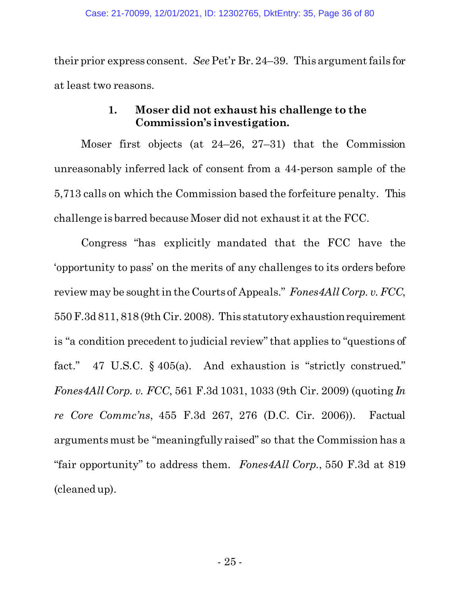their prior express consent. *See* Pet'r Br. 24–39. This argument fails for at least two reasons.

## **1. Moser did not exhaust his challenge to the Commission's investigation.**

<span id="page-35-0"></span>Moser first objects (at 24–26, 27–31) that the Commission unreasonably inferred lack of consent from a 44-person sample of the 5,713 calls on which the Commission based the forfeiture penalty. This challenge is barred because Moser did not exhaust it at the FCC.

Congress "has explicitly mandated that the FCC have the 'opportunity to pass' on the merits of any challenges to its orders before review may be sought in the Courts of Appeals." *Fones4All Corp. v. FCC*, 550 F.3d 811, 818 (9th Cir. 2008). This statutory exhaustion requirement is "a condition precedent to judicial review"that applies to "questions of fact." 47 U.S.C. § 405(a). And exhaustion is "strictly construed." *Fones4All Corp. v. FCC*, 561 F.3d 1031, 1033 (9th Cir. 2009) (quoting *In re Core Commc'ns*, 455 F.3d 267, 276 (D.C. Cir. 2006)). Factual arguments must be "meaningfully raised" so that the Commission has a "fair opportunity" to address them. *Fones4All Corp.*, 550 F.3d at 819 (cleaned up).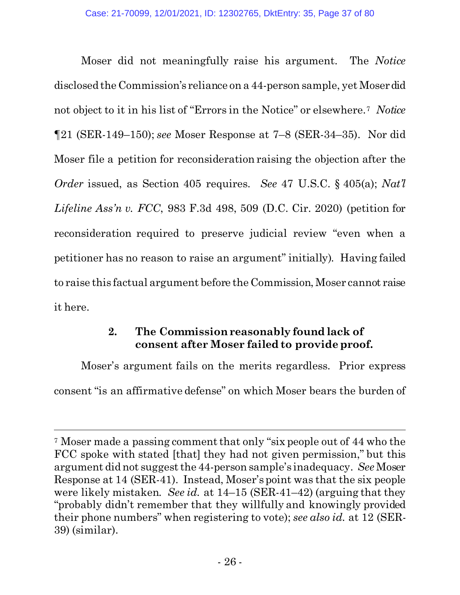Moser did not meaningfully raise his argument. The *Notice* disclosed the Commission's reliance on a 44-person sample, yet Moser did not object to it in his list of "Errors in the Notice" or elsewhere.[7](#page-36-0) *Notice* ¶21 (SER-149–150); *see* Moser Response at 7–8 (SER-34–35). Nor did Moser file a petition for reconsideration raising the objection after the *Order* issued, as Section 405 requires. *See* 47 U.S.C. § 405(a); *Nat'l Lifeline Ass'n v. FCC*, 983 F.3d 498, 509 (D.C. Cir. 2020) (petition for reconsideration required to preserve judicial review "even when a petitioner has no reason to raise an argument" initially). Having failed to raise this factual argument before the Commission, Moser cannot raise it here.

### **2. The Commission reasonably found lack of consent after Moser failed to provide proof.**

Moser's argument fails on the merits regardless. Prior express consent "is an affirmative defense" on which Moser bears the burden of

<span id="page-36-0"></span><sup>7</sup> Moser made a passing comment that only "six people out of 44 who the FCC spoke with stated [that] they had not given permission," but this argument did not suggest the 44-person sample's inadequacy. *See* Moser Response at 14 (SER-41). Instead, Moser's point was that the six people were likely mistaken. *See id.* at 14–15 (SER-41–42) (arguing that they "probably didn't remember that they willfully and knowingly provided their phone numbers" when registering to vote); *see also id.* at 12 (SER-39) (similar).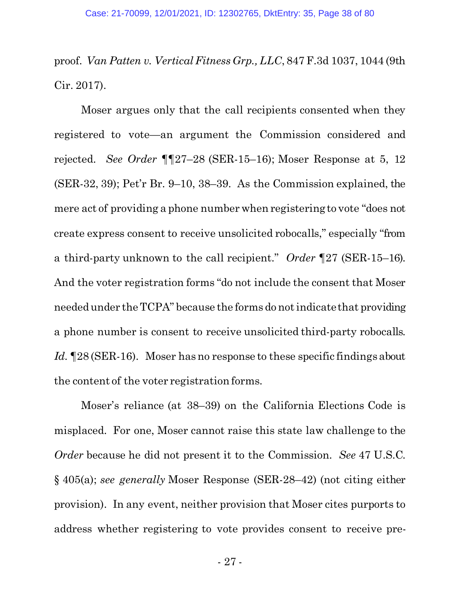proof. *Van Patten v. Vertical Fitness Grp., LLC*, 847 F.3d 1037, 1044 (9th Cir. 2017).

Moser argues only that the call recipients consented when they registered to vote—an argument the Commission considered and rejected. *See Order* ¶¶27–28 (SER-15–16); Moser Response at 5, 12 (SER-32, 39); Pet'r Br. 9–10, 38–39. As the Commission explained, the mere act of providing a phone number when registering to vote "does not create express consent to receive unsolicited robocalls," especially "from a third-party unknown to the call recipient." *Order* ¶27 (SER-15–16). And the voter registration forms "do not include the consent that Moser needed under the TCPA" because the forms do not indicate that providing a phone number is consent to receive unsolicited third-party robocalls. Id.  $128$  (SER-16). Moser has no response to these specific findings about the content of the voter registration forms.

Moser's reliance (at 38–39) on the California Elections Code is misplaced. For one, Moser cannot raise this state law challenge to the *Order* because he did not present it to the Commission. *See* 47 U.S.C. § 405(a); *see generally* Moser Response (SER-28–42) (not citing either provision). In any event, neither provision that Moser cites purports to address whether registering to vote provides consent to receive pre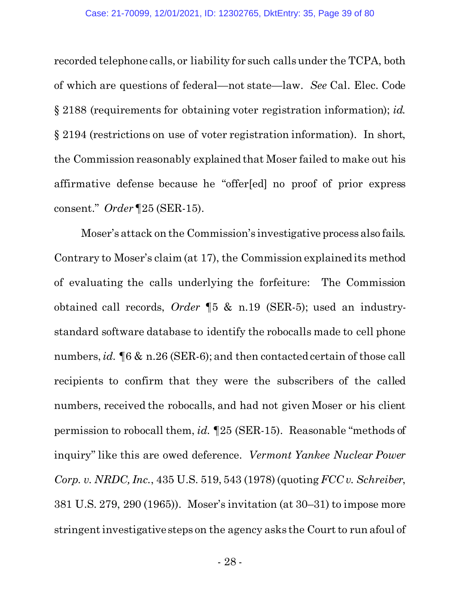recorded telephone calls, or liability for such calls under the TCPA, both of which are questions of federal—not state—law. *See* Cal. Elec. Code § 2188 (requirements for obtaining voter registration information); *id.* § 2194 (restrictions on use of voter registration information). In short, the Commission reasonably explained that Moser failed to make out his affirmative defense because he "offer[ed] no proof of prior express consent." *Order* ¶25 (SER-15).

Moser's attack on the Commission's investigative process also fails. Contrary to Moser's claim (at 17), the Commission explained its method of evaluating the calls underlying the forfeiture: The Commission obtained call records, *Order* ¶5 & n.19 (SER-5); used an industrystandard software database to identify the robocalls made to cell phone numbers, *id.*  $[6 \& n.26 \text{ (SER-6)}$ ; and then contacted certain of those call recipients to confirm that they were the subscribers of the called numbers, received the robocalls, and had not given Moser or his client permission to robocall them, *id.* ¶25 (SER-15). Reasonable "methods of inquiry" like this are owed deference. *Vermont Yankee Nuclear Power Corp. v. NRDC, Inc.*, 435 U.S. 519, 543 (1978) (quoting *FCC v. Schreiber*, 381 U.S. 279, 290 (1965)). Moser's invitation (at 30–31) to impose more stringent investigative steps on the agency asks the Court to run afoul of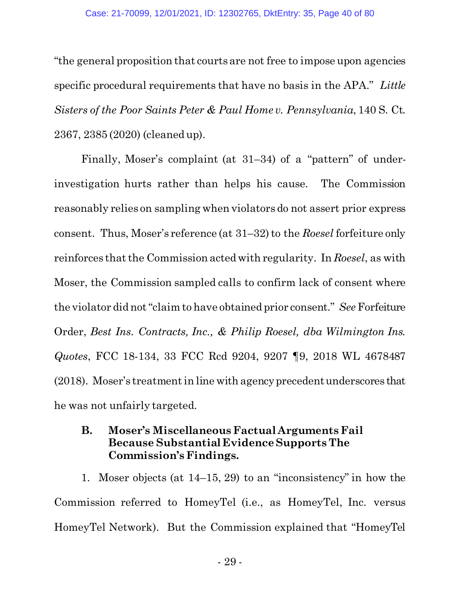"the general proposition that courts are not free to impose upon agencies specific procedural requirements that have no basis in the APA." *Little Sisters of the Poor Saints Peter & Paul Home v. Pennsylvania*, 140 S. Ct. 2367, 2385 (2020) (cleaned up).

Finally, Moser's complaint (at 31–34) of a "pattern" of underinvestigation hurts rather than helps his cause. The Commission reasonably relies on sampling when violators do not assert prior express consent. Thus, Moser's reference (at 31–32) to the *Roesel* forfeiture only reinforces that the Commission acted with regularity. In *Roesel*, as with Moser, the Commission sampled calls to confirm lack of consent where the violator did not "claim to have obtained prior consent." *See* Forfeiture Order, *Best Ins. Contracts, Inc., & Philip Roesel, dba Wilmington Ins. Quotes*, FCC 18-134, 33 FCC Rcd 9204, 9207 ¶9, 2018 WL 4678487 (2018). Moser's treatment in line with agency precedent underscores that he was not unfairly targeted.

#### **B. Moser's Miscellaneous Factual Arguments Fail Because Substantial Evidence Supports The Commission's Findings.**

1. Moser objects (at 14–15, 29) to an "inconsistency" in how the Commission referred to HomeyTel (i.e., as HomeyTel, Inc. versus HomeyTel Network). But the Commission explained that "HomeyTel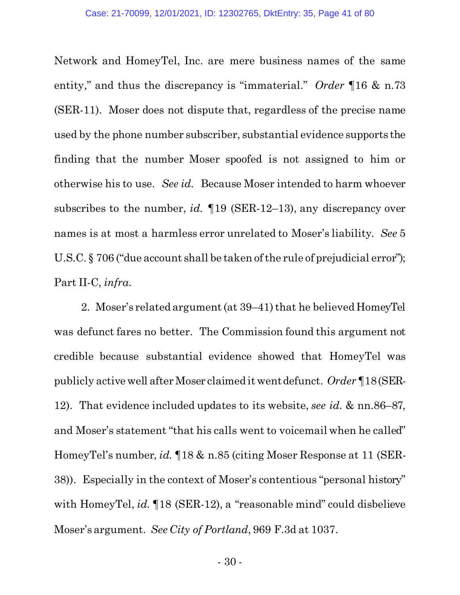Network and HomeyTel, Inc. are mere business names of the same entity," and thus the discrepancy is "immaterial." *Order* ¶16 & n.73 (SER-11). Moser does not dispute that, regardless of the precise name used by the phone number subscriber, substantial evidence supports the finding that the number Moser spoofed is not assigned to him or otherwise his to use. *See id.* Because Moser intended to harm whoever subscribes to the number, *id.* ¶19 (SER-12–13), any discrepancy over names is at most a harmless error unrelated to Moser's liability. *See* 5 U.S.C. § 706 ("due account shall be taken of the rule of prejudicial error"); Part II-C, *infra*.

2. Moser's related argument (at 39–41) that he believed HomeyTel was defunct fares no better. The Commission found this argument not credible because substantial evidence showed that HomeyTel was publicly active well after Moser claimed it went defunct. *Order* ¶18 (SER-12). That evidence included updates to its website, *see id.* & nn.86–87, and Moser's statement "that his calls went to voicemail when he called" HomeyTel's number, *id.* ¶18 & n.85 (citing Moser Response at 11 (SER-38)). Especially in the context of Moser's contentious "personal history" with HomeyTel, *id.* ¶18 (SER-12), a "reasonable mind" could disbelieve Moser's argument. *See City of Portland*, 969 F.3d at 1037.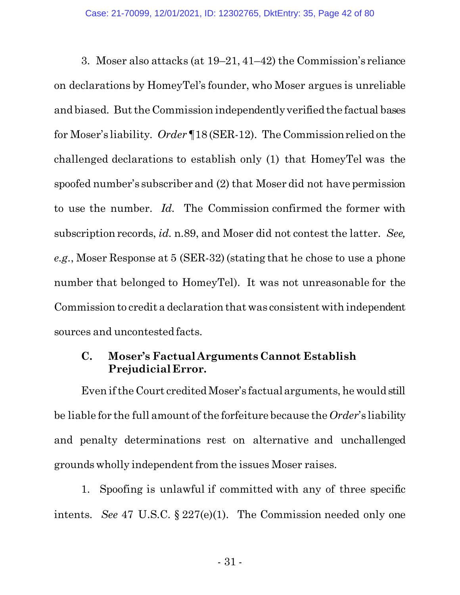3. Moser also attacks (at 19–21, 41–42) the Commission's reliance on declarations by HomeyTel's founder, who Moser argues is unreliable and biased. But the Commission independently verified the factual bases for Moser's liability. *Order* ¶18 (SER-12). The Commission relied on the challenged declarations to establish only (1) that HomeyTel was the spoofed number's subscriber and (2) that Moser did not have permission to use the number. *Id.* The Commission confirmed the former with subscription records, *id.* n.89, and Moser did not contest the latter. *See, e.g.*, Moser Response at 5 (SER-32) (stating that he chose to use a phone number that belonged to HomeyTel). It was not unreasonable for the Commission to credit a declaration that was consistent with independent sources and uncontested facts.

#### **C. Moser's Factual Arguments Cannot Establish Prejudicial Error.**

Even if the Court credited Moser's factual arguments, he would still be liable for the full amount of the forfeiture because the *Order*'s liability and penalty determinations rest on alternative and unchallenged grounds wholly independent from the issues Moser raises.

1. Spoofing is unlawful if committed with any of three specific intents. *See* 47 U.S.C. § 227(e)(1). The Commission needed only one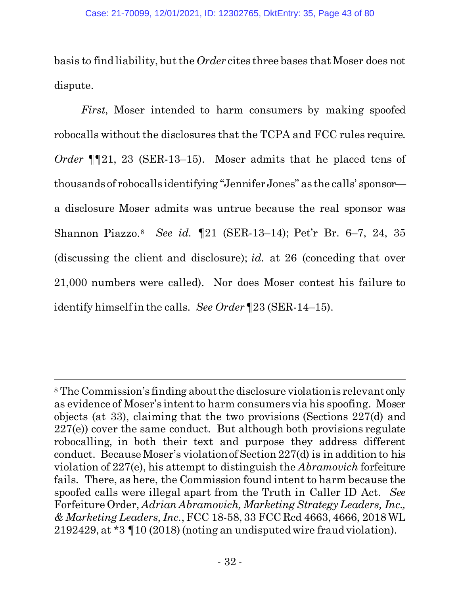basis to find liability, butthe *Order* cites three bases that Moser does not dispute.

*First*, Moser intended to harm consumers by making spoofed robocalls without the disclosures that the TCPA and FCC rules require. *Order* **[121, 23** (SER-13-15). Moser admits that he placed tens of thousands of robocalls identifying "Jennifer Jones" as the calls' sponsor a disclosure Moser admits was untrue because the real sponsor was Shannon Piazzo.[8](#page-42-0) *See id.* ¶21 (SER-13–14); Pet'r Br. 6–7, 24, 35 (discussing the client and disclosure); *id.* at 26 (conceding that over 21,000 numbers were called). Nor does Moser contest his failure to identify himself in the calls. *See Order* ¶23 (SER-14–15).

<span id="page-42-0"></span><sup>8</sup> The Commission's finding about the disclosure violation is relevant only as evidence of Moser's intent to harm consumers via his spoofing. Moser objects (at 33), claiming that the two provisions (Sections 227(d) and  $227(e)$ ) cover the same conduct. But although both provisions regulate robocalling, in both their text and purpose they address different conduct. Because Moser's violation of Section 227(d) is in addition to his violation of 227(e), his attempt to distinguish the *Abramovich* forfeiture fails. There, as here, the Commission found intent to harm because the spoofed calls were illegal apart from the Truth in Caller ID Act. *See*  Forfeiture Order, *Adrian Abramovich, Marketing Strategy Leaders, Inc., & Marketing Leaders, Inc.*, FCC 18-58, 33 FCC Rcd 4663, 4666, 2018 WL 2192429, at \*3 ¶10 (2018) (noting an undisputed wire fraud violation).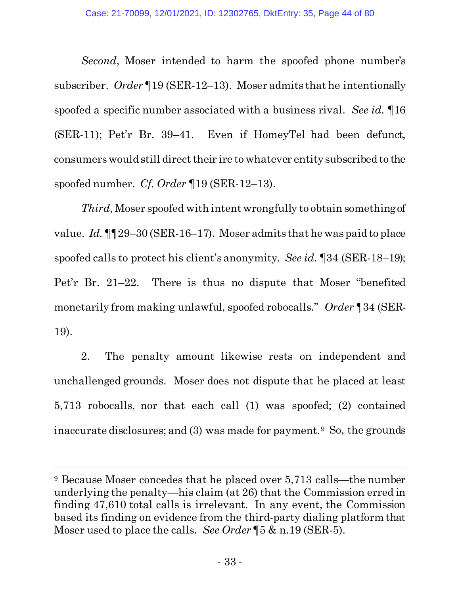*Second*, Moser intended to harm the spoofed phone number's subscriber. *Order* ¶19 (SER-12–13). Moser admits that he intentionally spoofed a specific number associated with a business rival. *See id.* ¶16 (SER-11); Pet'r Br. 39–41. Even if HomeyTel had been defunct, consumers would still direct their ire to whatever entity subscribed to the spoofed number. *Cf. Order* ¶19 (SER-12–13).

*Third*, Moser spoofed with intent wrongfully to obtain something of value. *Id.* ¶¶29–30 (SER-16–17). Moser admits that he was paid to place spoofed calls to protect his client's anonymity. *See id.* ¶34 (SER-18–19); Pet'r Br. 21–22. There is thus no dispute that Moser "benefited monetarily from making unlawful, spoofed robocalls." *Order* ¶34 (SER-19).

2. The penalty amount likewise rests on independent and unchallenged grounds. Moser does not dispute that he placed at least 5,713 robocalls, nor that each call (1) was spoofed; (2) contained inaccurate disclosures; and (3) was made for payment.<sup>[9](#page-43-0)</sup> So, the grounds

<span id="page-43-0"></span><sup>9</sup> Because Moser concedes that he placed over 5,713 calls—the number underlying the penalty—his claim (at 26) that the Commission erred in finding 47,610 total calls is irrelevant. In any event, the Commission based its finding on evidence from the third-party dialing platform that Moser used to place the calls. *See Order* ¶5 & n.19 (SER-5).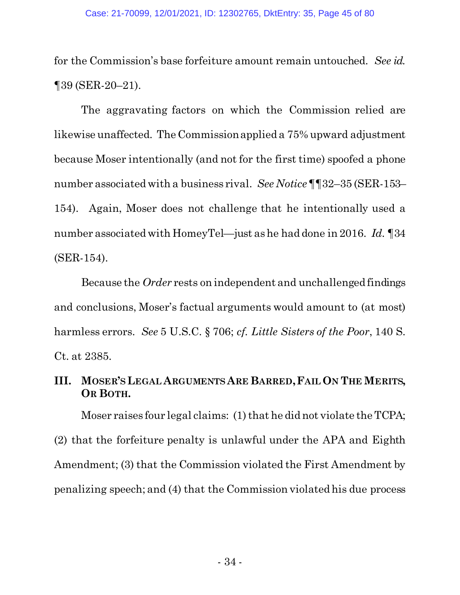for the Commission's base forfeiture amount remain untouched. *See id.* ¶39 (SER-20–21).

The aggravating factors on which the Commission relied are likewise unaffected. The Commission applied a 75% upward adjustment because Moser intentionally (and not for the first time) spoofed a phone number associated with a business rival. *See Notice* ¶¶32–35 (SER-153– 154). Again, Moser does not challenge that he intentionally used a number associated with HomeyTel—just as he had done in 2016. *Id.* ¶34 (SER-154).

Because the *Order* rests on independent and unchallenged findings and conclusions, Moser's factual arguments would amount to (at most) harmless errors. *See* 5 U.S.C. § 706; *cf. Little Sisters of the Poor*, 140 S. Ct. at 2385.

#### **III. MOSER'S LEGAL ARGUMENTS ARE BARRED,FAIL ON THE MERITS, OR BOTH.**

Moser raises four legal claims: (1) that he did not violate the TCPA; (2) that the forfeiture penalty is unlawful under the APA and Eighth Amendment; (3) that the Commission violated the First Amendment by penalizing speech; and (4) that the Commission violated his due process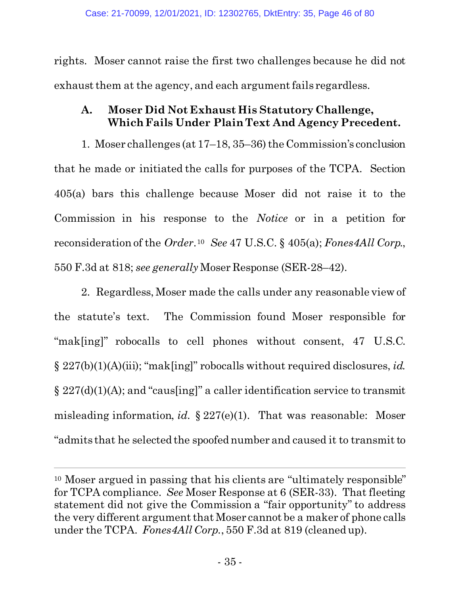rights. Moser cannot raise the first two challenges because he did not exhaust them at the agency, and each argument fails regardless.

#### **A. Moser Did Not Exhaust His Statutory Challenge, Which Fails Under Plain Text And Agency Precedent.**

1. Moser challenges (at 17–18, 35–36) the Commission's conclusion that he made or initiated the calls for purposes of the TCPA. Section 405(a) bars this challenge because Moser did not raise it to the Commission in his response to the *Notice* or in a petition for reconsideration of the *Order*.[10](#page-45-0) *See* 47 U.S.C. § 405(a); *Fones4All Corp.*, 550 F.3d at 818; *see generally* Moser Response (SER-28–42).

2. Regardless, Moser made the calls under any reasonable view of the statute's text. The Commission found Moser responsible for "mak[ing]" robocalls to cell phones without consent, 47 U.S.C. § 227(b)(1)(A)(iii); "mak[ing]" robocalls without required disclosures, *id.*  $\S 227(d)(1)(A)$ ; and "caus[ing]" a caller identification service to transmit misleading information, *id.* § 227(e)(1). That was reasonable: Moser "admits that he selected the spoofed number and caused it to transmit to

<span id="page-45-0"></span><sup>10</sup> Moser argued in passing that his clients are "ultimately responsible" for TCPA compliance. *See* Moser Response at 6 (SER-33). That fleeting statement did not give the Commission a "fair opportunity" to address the very different argument that Moser cannot be a maker of phone calls under the TCPA. *Fones4All Corp.*, 550 F.3d at 819 (cleaned up).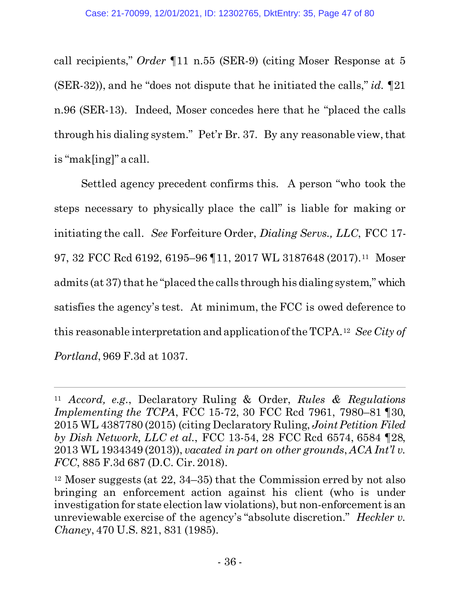call recipients," *Order* ¶11 n.55 (SER-9) (citing Moser Response at 5 (SER-32)), and he "does not dispute that he initiated the calls," *id.* ¶21 n.96 (SER-13). Indeed, Moser concedes here that he "placed the calls through his dialing system." Pet'r Br. 37. By any reasonable view, that is "mak[ing]" a call.

Settled agency precedent confirms this. A person "who took the steps necessary to physically place the call" is liable for making or initiating the call. *See* Forfeiture Order, *Dialing Servs., LLC*, FCC 17- 97, 32 FCC Rcd 6192, 6195–96 ¶11, 2017 WL 3187648 (2017).[11](#page-46-0) Moser admits (at 37) that he "placed the calls through his dialing system," which satisfies the agency's test. At minimum, the FCC is owed deference to this reasonable interpretation and application of the TCPA.[12](#page-46-1) *See City of Portland*, 969 F.3d at 1037.

<span id="page-46-0"></span><sup>11</sup> *Accord, e.g.*, Declaratory Ruling & Order, *Rules & Regulations Implementing the TCPA*, FCC 15-72, 30 FCC Rcd 7961, 7980–81 [30, 2015 WL 4387780 (2015) (citing Declaratory Ruling, *Joint Petition Filed by Dish Network, LLC et al.*, FCC 13-54, 28 FCC Rcd 6574, 6584 ¶28, 2013 WL 1934349 (2013)), *vacated in part on other grounds*, *ACA Int'l v. FCC*, 885 F.3d 687 (D.C. Cir. 2018).

<span id="page-46-1"></span><sup>12</sup> Moser suggests (at 22, 34–35) that the Commission erred by not also bringing an enforcement action against his client (who is under investigation for state election law violations), but non-enforcement is an unreviewable exercise of the agency's "absolute discretion." *Heckler v. Chaney*, 470 U.S. 821, 831 (1985).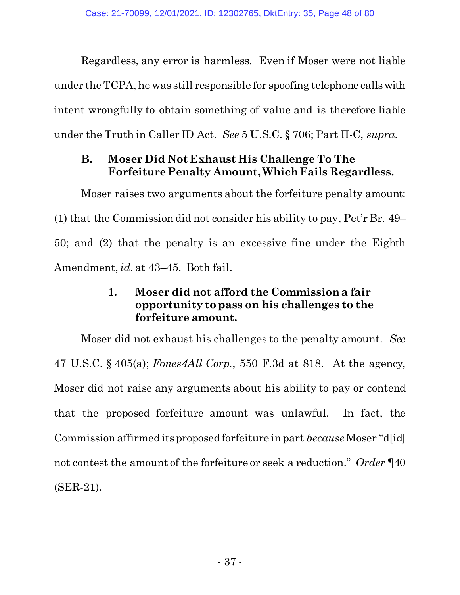Regardless, any error is harmless. Even if Moser were not liable under the TCPA, he was still responsible for spoofing telephone callswith intent wrongfully to obtain something of value and is therefore liable under the Truth in Caller ID Act. *See* 5 U.S.C. § 706; Part II-C, *supra*.

#### **B. Moser Did Not Exhaust His Challenge To The Forfeiture Penalty Amount, Which Fails Regardless.**

Moser raises two arguments about the forfeiture penalty amount: (1) that the Commission did not consider his ability to pay, Pet'r Br. 49– 50; and (2) that the penalty is an excessive fine under the Eighth Amendment, *id.* at 43–45. Both fail.

### **1. Moser did not afford the Commission a fair opportunity to pass on his challenges to the forfeiture amount.**

Moser did not exhaust his challenges to the penalty amount. *See*  47 U.S.C. § 405(a); *Fones4All Corp.*, 550 F.3d at 818. At the agency, Moser did not raise any arguments about his ability to pay or contend that the proposed forfeiture amount was unlawful. In fact, the Commission affirmed its proposed forfeiture in part *because* Moser "d[id] not contest the amount of the forfeiture or seek a reduction." *Order* ¶40 (SER-21).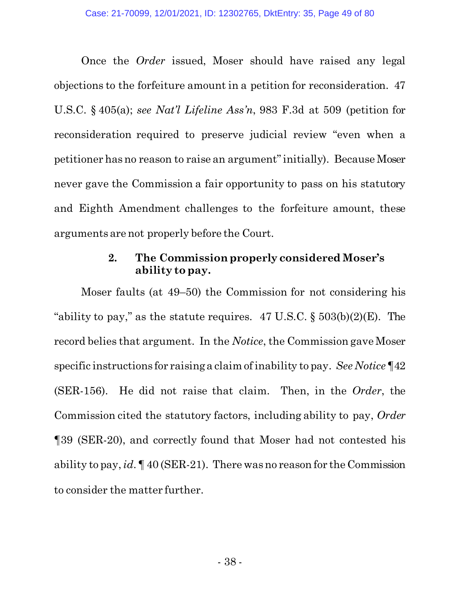Once the *Order* issued, Moser should have raised any legal objections to the forfeiture amount in a petition for reconsideration. 47 U.S.C. § 405(a); *see Nat'l Lifeline Ass'n*, 983 F.3d at 509 (petition for reconsideration required to preserve judicial review "even when a petitioner has no reason to raise an argument" initially). Because Moser never gave the Commission a fair opportunity to pass on his statutory and Eighth Amendment challenges to the forfeiture amount, these arguments are not properly before the Court.

#### **2. The Commission properly considered Moser's ability to pay.**

Moser faults (at 49–50) the Commission for not considering his "ability to pay," as the statute requires.  $47 \text{ U.S.C.}$  §  $503(b)(2)(E)$ . The record belies that argument. In the *Notice*, the Commission gave Moser specific instructions for raising a claim of inability to pay. *See Notice* ¶42 (SER-156). He did not raise that claim. Then, in the *Order*, the Commission cited the statutory factors, including ability to pay, *Order*  ¶39 (SER-20), and correctly found that Moser had not contested his ability to pay, *id*. ¶ 40 (SER-21). There was no reason for the Commission to consider the matter further.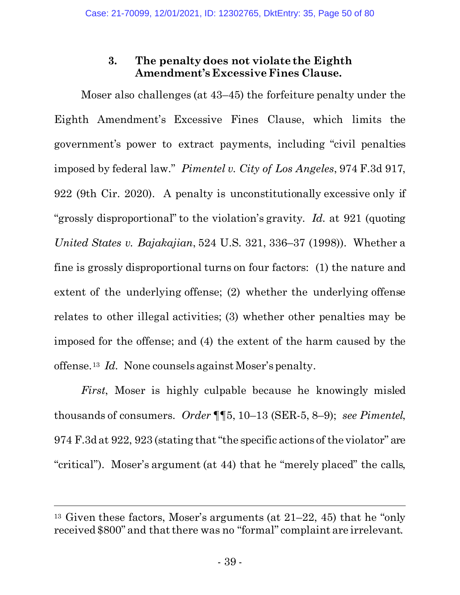### **3. The penalty does not violate the Eighth Amendment's Excessive Fines Clause.**

Moser also challenges (at 43–45) the forfeiture penalty under the Eighth Amendment's Excessive Fines Clause, which limits the government's power to extract payments, including "civil penalties imposed by federal law." *Pimentel v. City of Los Angeles*, 974 F.3d 917, 922 (9th Cir. 2020). A penalty is unconstitutionally excessive only if "grossly disproportional" to the violation's gravity. *Id.* at 921 (quoting *United States v. Bajakajian*, 524 U.S. 321, 336–37 (1998)). Whether a fine is grossly disproportional turns on four factors: (1) the nature and extent of the underlying offense; (2) whether the underlying offense relates to other illegal activities; (3) whether other penalties may be imposed for the offense; and (4) the extent of the harm caused by the offense.[13](#page-49-0) *Id.* None counsels against Moser's penalty.

*First*, Moser is highly culpable because he knowingly misled thousands of consumers. *Order* ¶¶5, 10–13 (SER-5, 8–9); *see Pimentel*, 974 F.3d at 922, 923 (stating that "the specific actions of the violator" are "critical"). Moser's argument (at 44) that he "merely placed" the calls,

<span id="page-49-0"></span> $13$  Given these factors, Moser's arguments (at  $21-22$ , 45) that he "only received \$800" and that there was no "formal" complaint are irrelevant.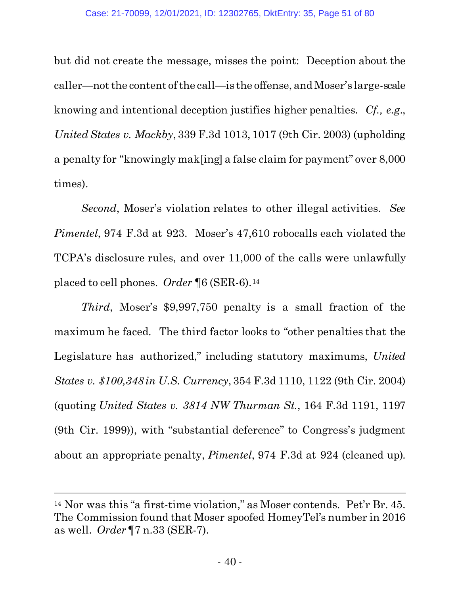but did not create the message, misses the point: Deception about the caller—not the content of the call—is the offense, and Moser's large-scale knowing and intentional deception justifies higher penalties. *Cf., e.g.*, *United States v. Mackby*, 339 F.3d 1013, 1017 (9th Cir. 2003) (upholding a penalty for "knowingly mak[ing] a false claim for payment" over 8,000 times).

*Second*, Moser's violation relates to other illegal activities. *See Pimentel*, 974 F.3d at 923. Moser's 47,610 robocalls each violated the TCPA's disclosure rules, and over 11,000 of the calls were unlawfully placed to cell phones. *Order* ¶6 (SER-6).[14](#page-50-0) 

*Third*, Moser's \$9,997,750 penalty is a small fraction of the maximum he faced. The third factor looks to "other penalties that the Legislature has authorized," including statutory maximums, *United States v. \$100,348 in U.S. Currency*, 354 F.3d 1110, 1122 (9th Cir. 2004) (quoting *United States v. 3814 NW Thurman St.*, 164 F.3d 1191, 1197 (9th Cir. 1999)), with "substantial deference" to Congress's judgment about an appropriate penalty, *Pimentel*, 974 F.3d at 924 (cleaned up).

<span id="page-50-0"></span><sup>14</sup> Nor was this "a first-time violation," as Moser contends. Pet'r Br. 45. The Commission found that Moser spoofed HomeyTel's number in 2016 as well. *Order* ¶7 n.33 (SER-7).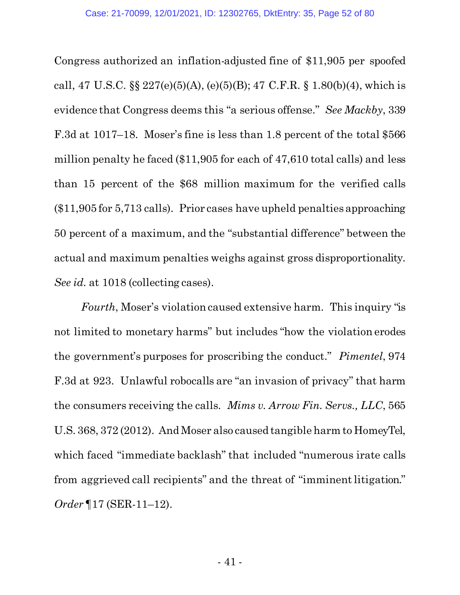Congress authorized an inflation-adjusted fine of \$11,905 per spoofed call, 47 U.S.C.  $\S$   $227(e)(5)(A)$ , (e)(5)(B); 47 C.F.R.  $\S$  1.80(b)(4), which is evidence that Congress deems this "a serious offense." *See Mackby*, 339 F.3d at 1017–18. Moser's fine is less than 1.8 percent of the total \$566 million penalty he faced (\$11,905 for each of 47,610 total calls) and less than 15 percent of the \$68 million maximum for the verified calls (\$11,905 for 5,713 calls). Prior cases have upheld penalties approaching 50 percent of a maximum, and the "substantial difference" between the actual and maximum penalties weighs against gross disproportionality. *See id.* at 1018 (collecting cases).

*Fourth*, Moser's violation caused extensive harm. This inquiry "is not limited to monetary harms" but includes "how the violation erodes the government's purposes for proscribing the conduct." *Pimentel*, 974 F.3d at 923. Unlawful robocalls are "an invasion of privacy" that harm the consumers receiving the calls. *Mims v. Arrow Fin. Servs., LLC*, 565 U.S. 368, 372 (2012). And Moser also caused tangible harm to HomeyTel, which faced "immediate backlash" that included "numerous irate calls from aggrieved call recipients" and the threat of "imminent litigation." *Order* ¶17 (SER-11–12).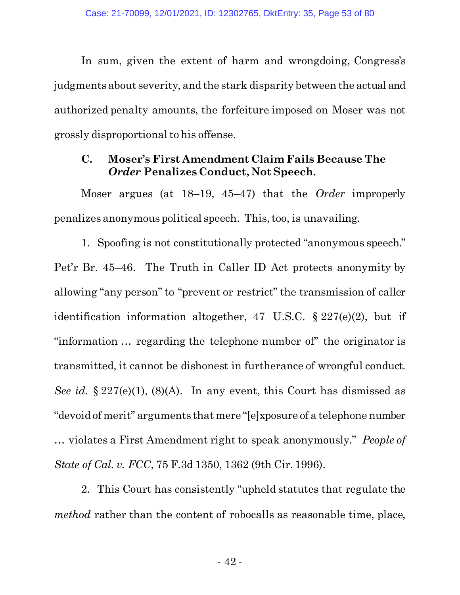In sum, given the extent of harm and wrongdoing, Congress's judgments about severity, and the stark disparity between the actual and authorized penalty amounts, the forfeiture imposed on Moser was not grossly disproportional to his offense.

#### **C. Moser's First Amendment Claim Fails Because The**  *Order* **Penalizes Conduct, Not Speech.**

Moser argues (at 18–19, 45–47) that the *Order* improperly penalizes anonymous political speech. This, too, is unavailing.

1. Spoofing is not constitutionally protected "anonymous speech." Pet'r Br. 45–46. The Truth in Caller ID Act protects anonymity by allowing "any person" to "prevent or restrict" the transmission of caller identification information altogether, 47 U.S.C.  $\S 227(e)(2)$ , but if "information … regarding the telephone number of" the originator is transmitted, it cannot be dishonest in furtherance of wrongful conduct. *See id.* § 227(e)(1), (8)(A). In any event, this Court has dismissed as "devoid of merit" arguments that mere "[e]xposure of a telephone number … violates a First Amendment right to speak anonymously." *People of State of Cal. v. FCC*, 75 F.3d 1350, 1362 (9th Cir. 1996).

2. This Court has consistently "upheld statutes that regulate the *method* rather than the content of robocalls as reasonable time, place,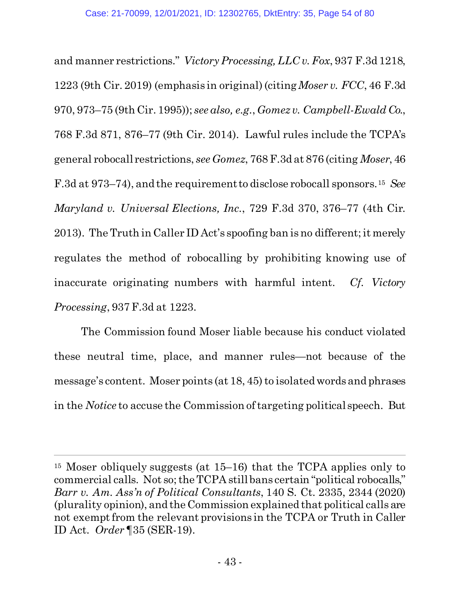and manner restrictions." *Victory Processing, LLC v. Fox*, 937 F.3d 1218, 1223 (9th Cir. 2019) (emphasis in original) (citing *Moser v. FCC*, 46 F.3d 970, 973–75 (9th Cir. 1995)); *see also, e.g.*, *Gomez v. Campbell-Ewald Co.*, 768 F.3d 871, 876–77 (9th Cir. 2014). Lawful rules include the TCPA's general robocall restrictions, *see Gomez*, 768 F.3d at 876 (citing *Moser*, 46 F.3d at 973–74), and the requirement to disclose robocall sponsors.[15](#page-53-0) *See Maryland v. Universal Elections, Inc.*, 729 F.3d 370, 376–77 (4th Cir. 2013). The Truth in Caller ID Act's spoofing ban is no different; it merely regulates the method of robocalling by prohibiting knowing use of inaccurate originating numbers with harmful intent. *Cf. Victory Processing*, 937 F.3d at 1223.

The Commission found Moser liable because his conduct violated these neutral time, place, and manner rules—not because of the message's content. Moser points (at  $18, 45$ ) to isolated words and phrases in the *Notice* to accuse the Commission of targeting political speech. But

<span id="page-53-0"></span><sup>15</sup> Moser obliquely suggests (at 15–16) that the TCPA applies only to commercial calls. Not so; the TCPA still bans certain "political robocalls," *Barr v. Am. Ass'n of Political Consultants*, 140 S. Ct. 2335, 2344 (2020) (plurality opinion), and the Commission explained that political calls are not exempt from the relevant provisions in the TCPA or Truth in Caller ID Act. *Order* ¶35 (SER-19).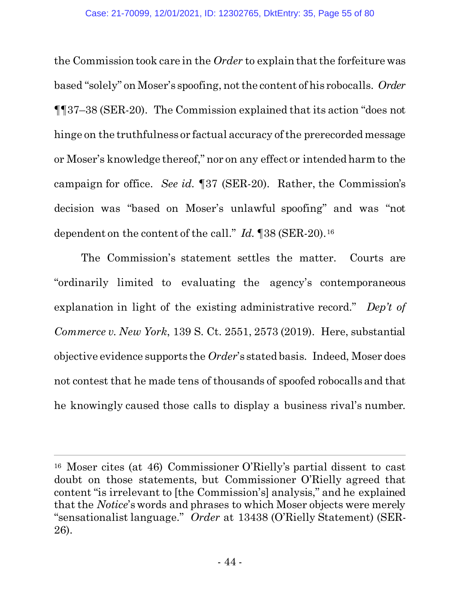the Commission took care in the *Order* to explain that the forfeiture was based "solely" on Moser's spoofing, not the content of his robocalls. *Order* ¶¶37–38 (SER-20). The Commission explained that its action "does not hinge on the truthfulness or factual accuracy of the prerecorded message or Moser's knowledge thereof," nor on any effect or intended harm to the campaign for office. *See id.* ¶37 (SER-20). Rather, the Commission's decision was "based on Moser's unlawful spoofing" and was "not dependent on the content of the call." *Id.* ¶38 (SER-20).[16](#page-54-0)

The Commission's statement settles the matter. Courts are "ordinarily limited to evaluating the agency's contemporaneous explanation in light of the existing administrative record." *Dep't of Commerce v. New York*, 139 S. Ct. 2551, 2573 (2019). Here, substantial objective evidence supports the *Order*'s stated basis. Indeed, Moser does not contest that he made tens of thousands of spoofed robocalls and that he knowingly caused those calls to display a business rival's number.

<span id="page-54-0"></span><sup>16</sup> Moser cites (at 46) Commissioner O'Rielly's partial dissent to cast doubt on those statements, but Commissioner O'Rielly agreed that content "is irrelevant to [the Commission's] analysis," and he explained that the *Notice*'s words and phrases to which Moser objects were merely "sensationalist language." *Order* at 13438 (O'Rielly Statement) (SER-26).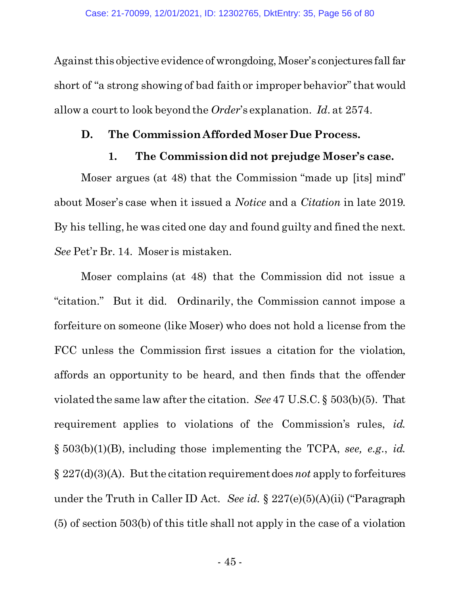Against this objective evidence of wrongdoing, Moser's conjectures fall far short of "a strong showing of bad faith or improper behavior"that would allow a court to look beyond the *Order*'s explanation. *Id*. at 2574.

#### **D. The Commission Afforded Moser Due Process.**

#### **1. The Commission did not prejudge Moser's case.**

Moser argues (at 48) that the Commission "made up [its] mind" about Moser's case when it issued a *Notice* and a *Citation* in late 2019. By his telling, he was cited one day and found guilty and fined the next. *See* Pet'r Br. 14. Moser is mistaken.

Moser complains (at 48) that the Commission did not issue a "citation." But it did. Ordinarily, the Commission cannot impose a forfeiture on someone (like Moser) who does not hold a license from the FCC unless the Commission first issues a citation for the violation, affords an opportunity to be heard, and then finds that the offender violated the same law after the citation. *See* 47 U.S.C. § 503(b)(5). That requirement applies to violations of the Commission's rules, *id.* § 503(b)(1)(B), including those implementing the TCPA, *see, e.g.*, *id.* § 227(d)(3)(A). But the citation requirement does *not* apply to forfeitures under the Truth in Caller ID Act. *See id.* § 227(e)(5)(A)(ii) ("Paragraph (5) of section 503(b) of this title shall not apply in the case of a violation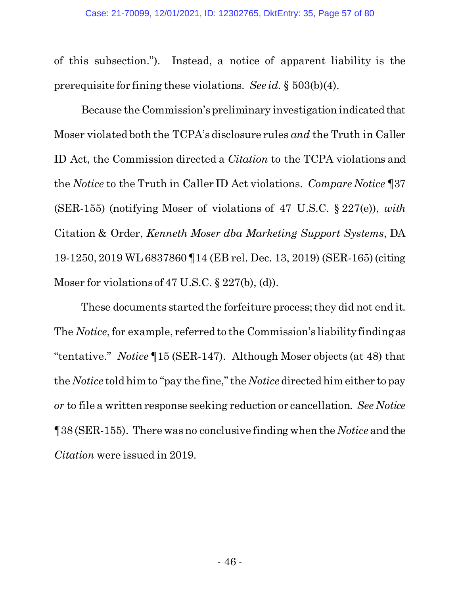of this subsection."). Instead, a notice of apparent liability is the prerequisite for fining these violations. *See id.* § 503(b)(4).

Because the Commission's preliminary investigation indicated that Moser violated both the TCPA's disclosure rules *and* the Truth in Caller ID Act, the Commission directed a *Citation* to the TCPA violations and the *Notice* to the Truth in Caller ID Act violations. *Compare Notice* ¶37 (SER-155) (notifying Moser of violations of 47 U.S.C. § 227(e)), *with*  Citation & Order, *Kenneth Moser dba Marketing Support Systems*, DA 19-1250, 2019 WL 6837860 ¶14 (EB rel. Dec. 13, 2019) (SER-165) (citing Moser for violations of 47 U.S.C. § 227(b), (d)).

These documents started the forfeiture process; they did not end it. The *Notice*, for example, referred to the Commission's liabilityfinding as "tentative." *Notice* ¶15 (SER-147). Although Moser objects (at 48) that the *Notice* told him to "pay the fine," the *Notice* directed him either to pay *or* to file a written response seeking reduction or cancellation. *See Notice* ¶38 (SER-155). There was no conclusive finding when the *Notice* and the *Citation* were issued in 2019.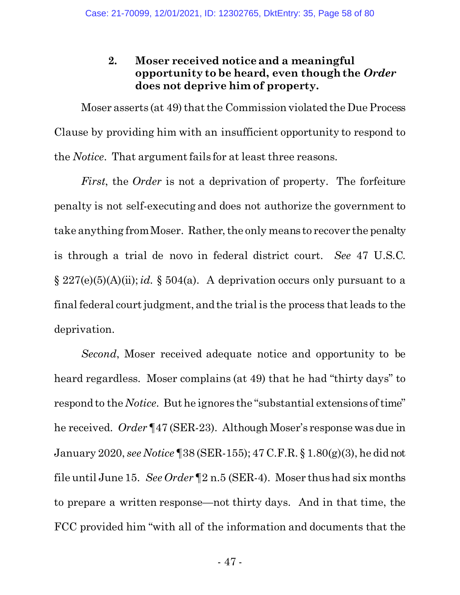#### **2. Moser received notice and a meaningful opportunity to be heard, even though the** *Order* **does not deprive him of property.**

Moser asserts (at 49) that the Commission violated the Due Process Clause by providing him with an insufficient opportunity to respond to the *Notice*. That argument fails for at least three reasons.

*First*, the *Order* is not a deprivation of property. The forfeiture penalty is not self-executing and does not authorize the government to take anything from Moser. Rather, the only means to recover the penalty is through a trial de novo in federal district court. *See* 47 U.S.C.  $\S 227(e)(5)(A)(ii); id. \S 504(a). A \text{deprivation occurs only pursuit to a}$ final federal court judgment, and the trial is the process that leads to the deprivation.

*Second*, Moser received adequate notice and opportunity to be heard regardless. Moser complains (at 49) that he had "thirty days" to respond to the *Notice*. But he ignores the "substantial extensions of time" he received. *Order* ¶47 (SER-23). Although Moser's response was due in January 2020, *see Notice* ¶38 (SER-155); 47 C.F.R. § 1.80(g)(3), he did not file until June 15. *See Order* ¶2 n.5 (SER-4). Moser thus had six months to prepare a written response—not thirty days. And in that time, the FCC provided him "with all of the information and documents that the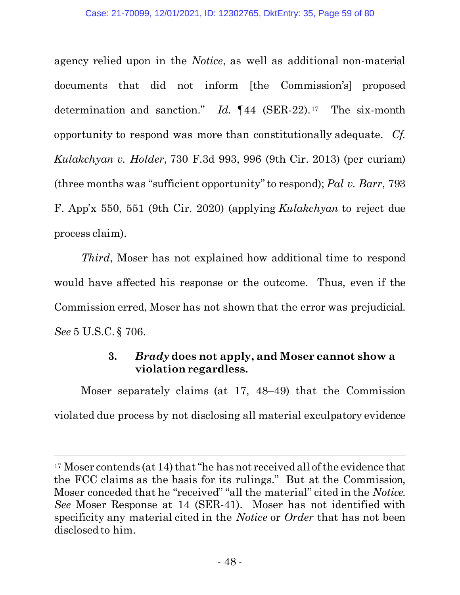agency relied upon in the *Notice*, as well as additional non-material documents that did not inform [the Commission's] proposed determination and sanction." *Id.* ¶44 (SER-22).[17](#page-58-0) The six-month opportunity to respond was more than constitutionally adequate. *Cf. Kulakchyan v. Holder*, 730 F.3d 993, 996 (9th Cir. 2013) (per curiam) (three months was "sufficient opportunity" to respond); *Pal v. Barr*, 793 F. App'x 550, 551 (9th Cir. 2020) (applying *Kulakchyan* to reject due process claim).

*Third*, Moser has not explained how additional time to respond would have affected his response or the outcome. Thus, even if the Commission erred, Moser has not shown that the error was prejudicial. *See* 5 U.S.C. § 706.

#### **3.** *Brady* **does not apply, and Moser cannot show a violation regardless.**

Moser separately claims (at 17, 48–49) that the Commission violated due process by not disclosing all material exculpatory evidence

<span id="page-58-0"></span><sup>17</sup> Moser contends (at 14) that "he has not received all of the evidence that the FCC claims as the basis for its rulings." But at the Commission, Moser conceded that he "received" "all the material" cited in the *Notice*. *See* Moser Response at 14 (SER-41). Moser has not identified with specificity any material cited in the *Notice* or *Order* that has not been disclosed to him.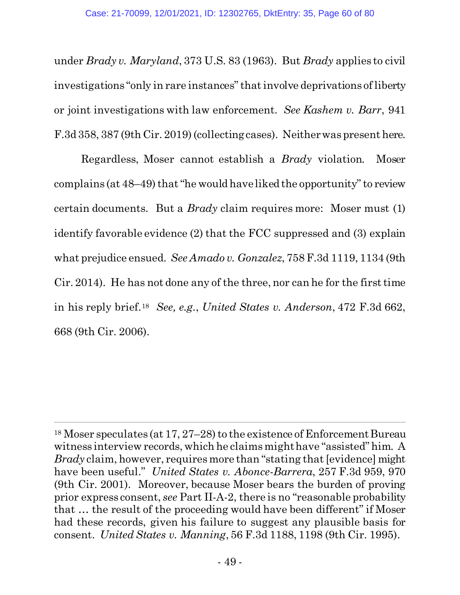under *Brady v. Maryland*, 373 U.S. 83 (1963). But *Brady* applies to civil investigations "only in rare instances"that involve deprivations of liberty or joint investigations with law enforcement. *See Kashem v. Barr*, 941 F.3d 358, 387 (9th Cir. 2019) (collecting cases). Neither was present here.

Regardless, Moser cannot establish a *Brady* violation. Moser complains (at  $48-49$ ) that "he would have liked the opportunity" to review certain documents. But a *Brady* claim requires more: Moser must (1) identify favorable evidence (2) that the FCC suppressed and (3) explain what prejudice ensued. *See Amado v. Gonzalez*, 758 F.3d 1119, 1134 (9th Cir. 2014). He has not done any of the three, nor can he for the first time in his reply brief.[18](#page-59-0) *See, e.g.*, *United States v. Anderson*, 472 F.3d 662, 668 (9th Cir. 2006).

<span id="page-59-0"></span><sup>18</sup> Moser speculates (at 17, 27–28) to the existence of Enforcement Bureau witness interview records, which he claims might have "assisted" him. A *Brady* claim, however, requires more than "stating that [evidence] might have been useful." *United States v. Abonce-Barrera*, 257 F.3d 959, 970 (9th Cir. 2001). Moreover, because Moser bears the burden of proving prior express consent, *see* Part II-A-2, there is no "reasonable probability that … the result of the proceeding would have been different" if Moser had these records, given his failure to suggest any plausible basis for consent. *United States v. Manning*, 56 F.3d 1188, 1198 (9th Cir. 1995).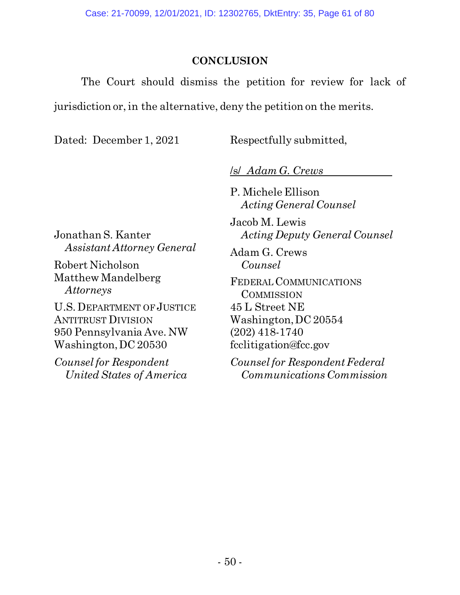#### **CONCLUSION**

The Court should dismiss the petition for review for lack of jurisdiction or, in the alternative, deny the petition on the merits.

Dated: December 1, 2021 Respectfully submitted,

/s/ *Adam G. Crews*

P. Michele Ellison *Acting General Counsel*

Jacob M. Lewis *Acting Deputy General Counsel*

Adam G. Crews *Counsel*

FEDERAL COMMUNICATIONS **COMMISSION** 45 L Street NE Washington, DC 20554 (202) 418-1740 fcclitigation@fcc.gov

*Counsel for Respondent Federal Communications Commission*

Jonathan S. Kanter *Assistant Attorney General*

Robert Nicholson Matthew Mandelberg *Attorneys*

U.S. DEPARTMENT OF JUSTICE ANTITRUST DIVISION 950 Pennsylvania Ave. NW Washington, DC 20530

*Counsel for Respondent United States of America*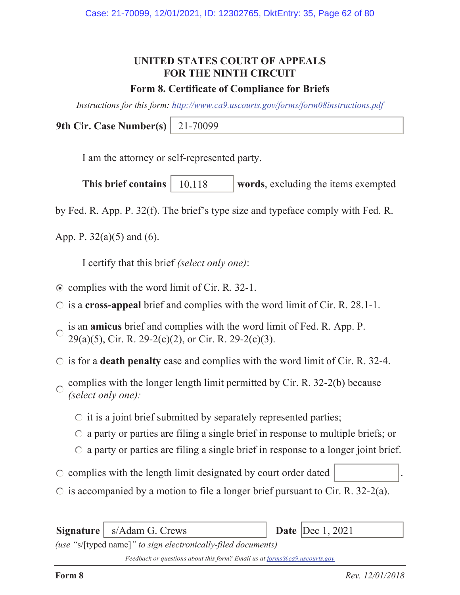### **UNITED STATES COURT OF APPEALS FOR THE NINTH CIRCUIT**

#### **Form 8. Certificate of Compliance for Briefs**

*Instructions for this form: http://www.ca9.uscourts.gov/forms/form08instructions.pdf*

**9th Cir. Case Number(s)** 21-70099

I am the attorney or self-represented party.

**This brief contains** | 10,118 | words, excluding the items exempted 10,118

by Fed. R. App. P. 32(f). The brief's type size and typeface comply with Fed. R.

App. P.  $32(a)(5)$  and (6).

I certify that this brief *(select only one)*:

- $\odot$  complies with the word limit of Cir. R. 32-1.
- is a **cross-appeal** brief and complies with the word limit of Cir. R. 28.1-1.
- is an **amicus** brief and complies with the word limit of Fed. R. App. P.  $\bigcap$ 29(a)(5), Cir. R. 29-2(c)(2), or Cir. R. 29-2(c)(3).
- is for a **death penalty** case and complies with the word limit of Cir. R. 32-4.
- complies with the longer length limit permitted by Cir. R. 32-2(b) because  $\bigcap$ *(select only one):*
	- $\circ$  it is a joint brief submitted by separately represented parties;
	- $\circ$  a party or parties are filing a single brief in response to multiple briefs; or
	- $\circ$  a party or parties are filing a single brief in response to a longer joint brief.
- $\circ$  complies with the length limit designated by court order dated
- $\circ$  is accompanied by a motion to file a longer brief pursuant to Cir. R. 32-2(a).

**Signature** | s/Adam G. Crews

Date  $\vert$ Dec 1, 2021

*(use "*s/[typed name]*" to sign electronically-filed documents)*

*Feedback or questions about this form? Email us at forms@ca9.uscourts.gov*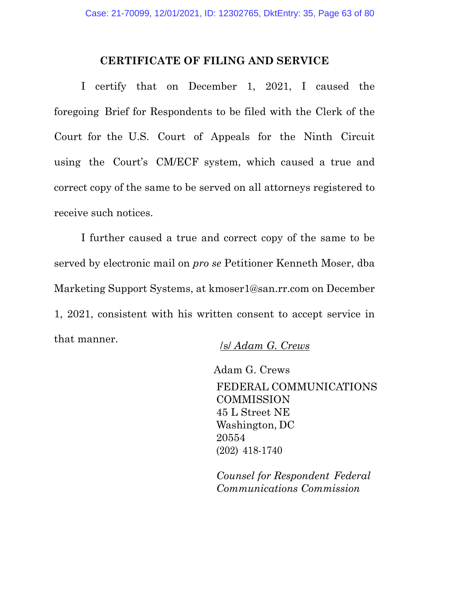#### **CERTIFICATE OF FILING AND SERVICE**

I certify that on December 1, 2021, I caused the foregoing Brief for Respondents to be filed with the Clerk of the Court for the U.S. Court of Appeals for the Ninth Circuit using the Court's CM/ECF system, which caused a true and correct copy of the same to be served on all attorneys registered to receive such notices.

I further caused a true and correct copy of the same to be served by electronic mail on *pro se* Petitioner Kenneth Moser, dba Marketing Support Systems, at kmoser1@san.rr.com on December 1, 2021, consistent with his written consent to accept service in that manner.  $\frac{1}{s}$  /s/ *Adam G. Crews* 

> Adam G. Crews FEDERAL COMMUNICATIONS **COMMISSION** 45 L Street NE Washington, DC 20554 (202) 418-1740

*Counsel for Respondent Federal Communications Commission*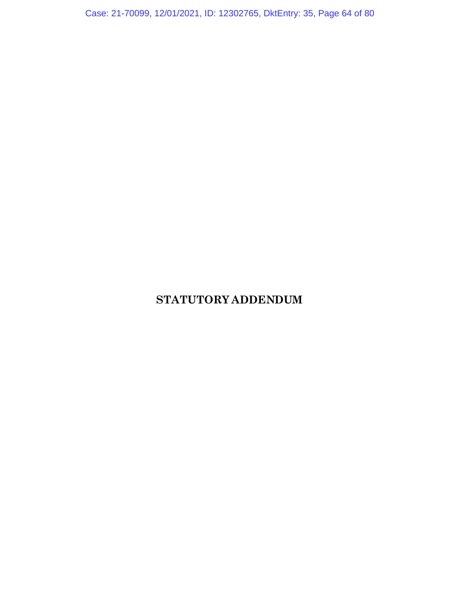Case: 21-70099, 12/01/2021, ID: 12302765, DktEntry: 35, Page 64 of 80

# **STATUTORY ADDENDUM**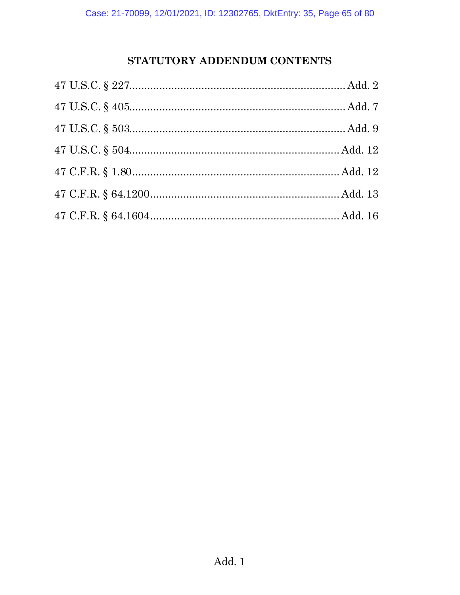### STATUTORY ADDENDUM CONTENTS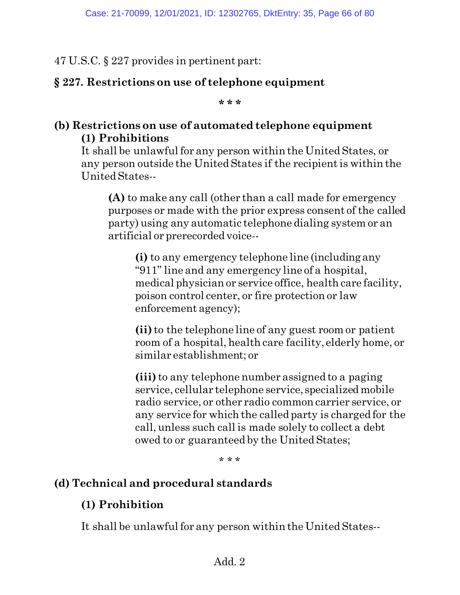### 47 U.S.C. § 227 provides in pertinent part:

### **§ 227. Restrictions on use of telephone equipment**

**\* \* \***

### **(b) Restrictions on use of automated telephone equipment (1) Prohibitions**

It shall be unlawful for any person within the United States, or any person outside the United States if the recipient is within the United States--

**(A)** to make any call (other than a call made for emergency purposes or made with the prior express consent of the called party) using any automatic telephone dialing system or an artificial or prerecorded voice--

**(i)** to any emergency telephone line (including any "911" line and any emergency line of a hospital, medical physician or service office, health care facility, poison control center, or fire protection or law enforcement agency);

**(ii)**to the telephone line of any guest room or patient room of a hospital, health care facility, elderly home, or similar establishment; or

**(iii)**to any telephone number assigned to a paging service, cellular telephone service, specialized mobile radio service, or other radio common carrier service, or any service for which the called party is charged for the call, unless such call is made solely to collect a debt owed to or guaranteed by the United States;

\* \* \*

## **(d) Technical and procedural standards**

## **(1) Prohibition**

It shall be unlawful for any person within the United States--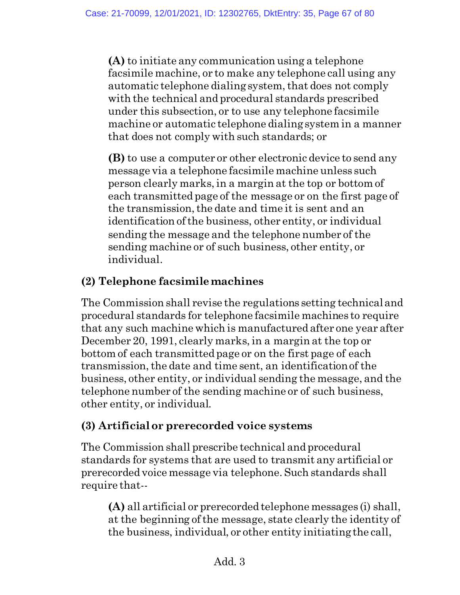**(A)** to initiate any communication using a telephone facsimile machine, or to make any telephone call using any automatic telephone dialing system, that does not comply with the technical and procedural standards prescribed under this subsection, or to use any telephone facsimile machine or automatic telephone dialing system in a manner that does not comply with such standards; or

**(B)** to use a computer or other electronic device to send any message via a telephone facsimile machine unless such person clearly marks, in a margin at the top or bottom of each transmitted page of the message or on the first page of the transmission, the date and time it is sent and an identification of the business, other entity, or individual sending the message and the telephone number of the sending machine or of such business, other entity, or individual.

## **(2) Telephone facsimile machines**

The Commission shall revise the regulations setting technical and procedural standards for telephone facsimile machines to require that any such machine which is manufactured after one year after December 20, 1991, clearly marks, in a margin at the top or bottom of each transmitted page or on the first page of each transmission, the date and time sent, an identification of the business, other entity, or individual sending the message, and the telephone number of the sending machine or of such business, other entity, or individual.

## **(3) Artificial or prerecorded voice systems**

The Commission shall prescribe technical and procedural standards for systems that are used to transmit any artificial or prerecorded voice message via telephone. Such standards shall require that--

**(A)** all artificial or prerecorded telephone messages (i) shall, at the beginning of the message, state clearly the identity of the business, individual, or other entity initiating the call,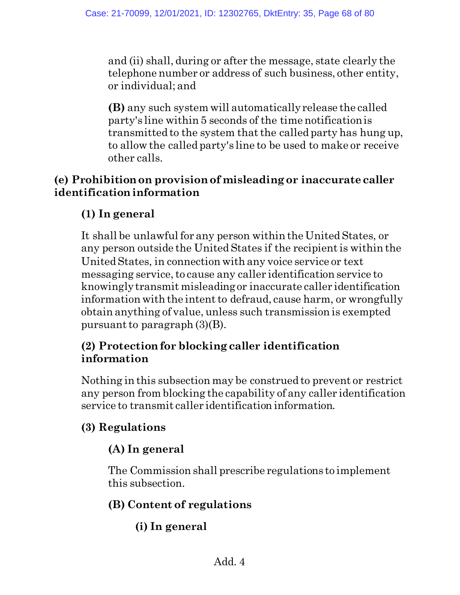and (ii) shall, during or after the message, state clearly the telephone number or address of such business, other entity, or individual; and

**(B)** any such system will automatically release the called party's line within 5 seconds of the time notification is transmitted to the system that the called party has hung up, to allow the called party's line to be used to make or receive other calls.

### **(e) Prohibition on provision of misleading or inaccurate caller identification information**

## **(1) In general**

It shall be unlawful for any person within the United States, or any person outside the United States if the recipient is within the United States, in connection with any voice service or text messaging service, to cause any caller identification service to knowingly transmit misleading or inaccurate caller identification information with the intent to defraud, cause harm, or wrongfully obtain anything of value, unless such transmission is exempted pursuant to paragraph (3)(B).

### **(2) Protection for blocking caller identification information**

Nothing in this subsection may be construed to prevent or restrict any person from blocking the capability of any caller identification service to transmit caller identification information.

## **(3) Regulations**

## **(A) In general**

The Commission shall prescribe regulations to implement this subsection.

## **(B) Content of regulations**

**(i) In general**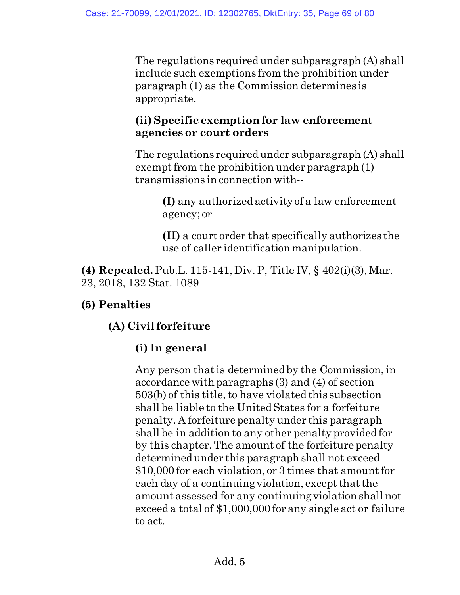The regulations required under subparagraph (A) shall include such exemptions from the prohibition under paragraph (1) as the Commission determines is appropriate.

### **(ii) Specific exemption for law enforcement agencies or court orders**

The regulations required under subparagraph (A) shall exempt from the prohibition under paragraph (1) transmissions in connection with--

**(I)** any authorized activity of a law enforcement agency; or

**(II)** a court order that specifically authorizes the use of caller identification manipulation.

**(4) Repealed.**Pub.L. 115-141, Div. P, Title IV, § 402(i)(3), Mar. 23, 2018, 132 Stat. 1089

## **(5) Penalties**

## **(A) Civil forfeiture**

## **(i) In general**

Any person that is determined by the Commission, in accordance with paragraphs (3) and (4) of section 503(b) of this title, to have violated this subsection shall be liable to the United States for a forfeiture penalty. A forfeiture penalty under this paragraph shall be in addition to any other penalty provided for by this chapter. The amount of the forfeiture penalty determined under this paragraph shall not exceed \$10,000 for each violation, or 3 times that amount for each day of a continuing violation, except that the amount assessed for any continuing violation shall not exceed a total of \$1,000,000 for any single act or failure to act.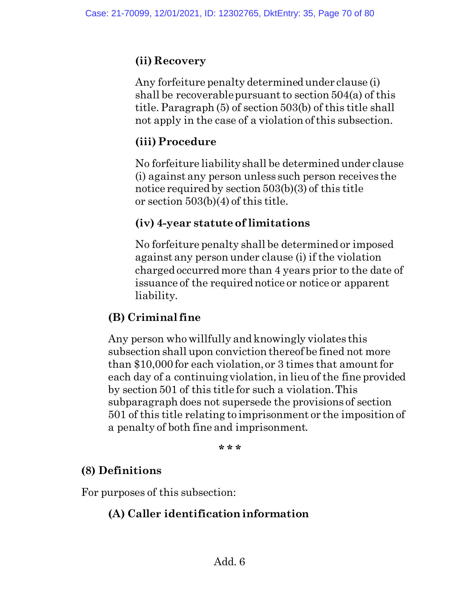## **(ii) Recovery**

Any forfeiture penalty determined under clause (i) shall be recoverable pursuant to section 504(a) of this title.Paragraph (5) of section 503(b) of this title shall not apply in the case of a violation of this subsection.

### **(iii) Procedure**

No forfeiture liability shall be determined under clause (i) against any person unless such person receives the notice required by section 503(b)(3) of this title or section 503(b)(4) of this title.

### **(iv) 4-year statute of limitations**

No forfeiture penalty shall be determined or imposed against any person under clause (i) if the violation charged occurred more than 4 years prior to the date of issuance of the required notice or notice or apparent liability.

### **(B) Criminal fine**

Any person who willfully and knowingly violates this subsection shall upon conviction thereof be fined not more than \$10,000 for each violation, or 3 times that amount for each day of a continuing violation, in lieu of the fine provided by section 501 of this title for such a violation. This subparagraph does not supersede the provisions of section 501 of this title relating to imprisonment or the imposition of a penalty of both fine and imprisonment.

**\* \* \***

### **(8) Definitions**

For purposes of this subsection:

## **(A) Caller identification information**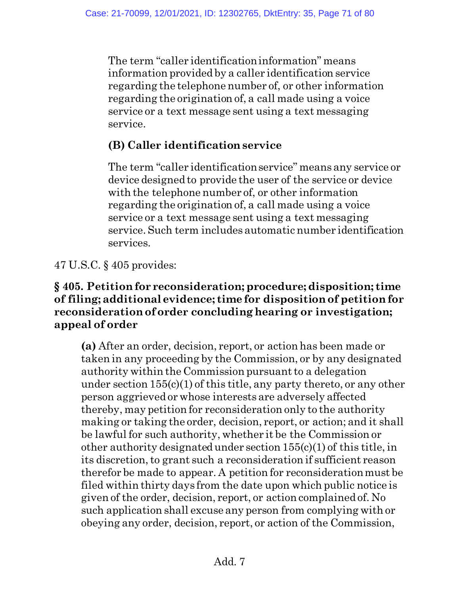The term "caller identification information" means information provided by a caller identification service regarding the telephone number of, or other information regarding the origination of, a call made using a voice service or a text message sent using a text messaging service.

## **(B) Caller identification service**

The term "caller identification service" means any service or device designed to provide the user of the service or device with the telephone number of, or other information regarding the origination of, a call made using a voice service or a text message sent using a text messaging service. Such term includes automatic number identification services.

### 47 U.S.C. § 405 provides:

### **§ 405. Petition for reconsideration; procedure; disposition; time of filing; additional evidence; time for disposition of petition for reconsideration of order concluding hearing or investigation; appeal of order**

**(a)** After an order, decision, report, or action has been made or taken in any proceeding by the Commission, or by any designated authority within the Commission pursuant to a delegation under section  $155(c)(1)$  of this title, any party thereto, or any other person aggrieved or whose interests are adversely affected thereby, may petition for reconsideration only to the authority making or taking the order, decision, report, or action; and it shall be lawful for such authority, whether it be the Commission or other authority designated under section 155(c)(1) of this title, in its discretion, to grant such a reconsideration if sufficient reason therefor be made to appear. A petition for reconsideration must be filed within thirty days from the date upon which public notice is given of the order, decision, report, or action complained of. No such application shall excuse any person from complying with or obeying any order, decision, report, or action of the Commission,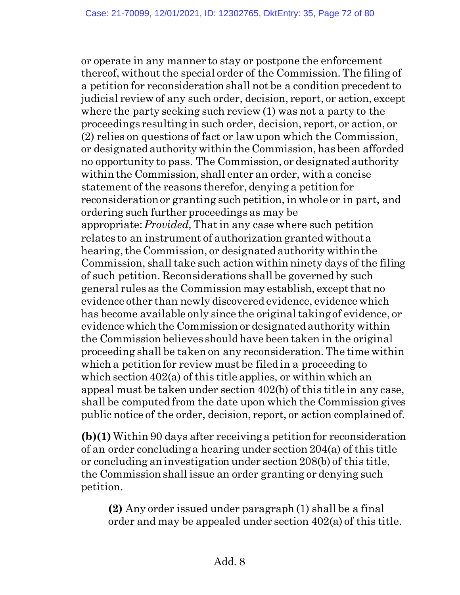or operate in any manner to stay or postpone the enforcement thereof, without the special order of the Commission. The filing of a petition for reconsideration shall not be a condition precedent to judicial review of any such order, decision, report, or action, except where the party seeking such review (1) was not a party to the proceedings resulting in such order, decision, report, or action, or (2) relies on questions of fact or law upon which the Commission, or designated authority within the Commission, has been afforded no opportunity to pass. The Commission, or designated authority within the Commission, shall enter an order, with a concise statement of the reasons therefor, denying a petition for reconsideration or granting such petition, in whole or in part, and ordering such further proceedings as may be appropriate: *Provided,* That in any case where such petition relates to an instrument of authorization granted without a hearing, the Commission, or designated authority within the Commission, shall take such action within ninety days of the filing of such petition. Reconsiderations shall be governed by such general rules as the Commission may establish, except that no evidence other than newly discovered evidence, evidence which has become available only since the original taking of evidence, or evidence which the Commission or designated authority within the Commission believes should have been taken in the original proceeding shall be taken on any reconsideration. The time within which a petition for review must be filed in a proceeding to which section  $402(a)$  of this title applies, or within which an appeal must be taken under section 402(b) of this title in any case, shall be computed from the date upon which the Commission gives public notice of the order, decision, report, or action complained of.

**(b)(1)** Within 90 days after receiving a petition for reconsideration of an order concluding a hearing under section 204(a) of this title or concluding an investigation under section 208(b) of this title, the Commission shall issue an order granting or denying such petition.

**(2)** Any order issued under paragraph (1) shall be a final order and may be appealed under section 402(a) of this title.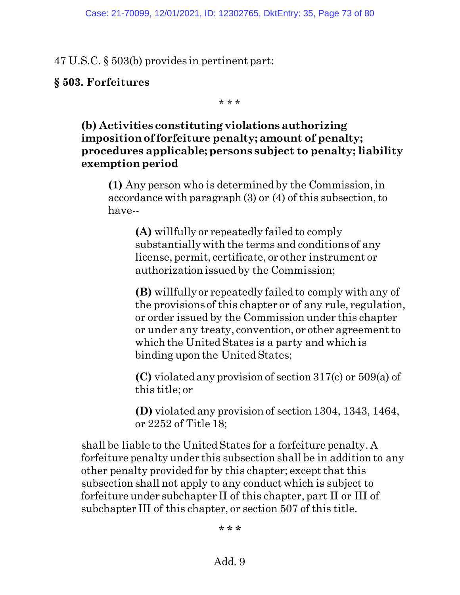### 47 U.S.C. § 503(b) provides in pertinent part:

#### **§ 503. Forfeitures**

\* \* \*

## **(b) Activities constituting violations authorizing imposition of forfeiture penalty; amount of penalty; procedures applicable; persons subject to penalty; liability exemption period**

**(1)** Any person who is determined by the Commission, in accordance with paragraph (3) or (4) of this subsection, to have--

**(A)** willfully or repeatedly failed to comply substantially with the terms and conditions of any license, permit, certificate, or other instrument or authorization issued by the Commission;

**(B)** willfully or repeatedly failed to comply with any of the provisions of this chapter or of any rule, regulation, or order issued by the Commission under this chapter or under any treaty, convention, or other agreement to which the United States is a party and which is binding upon the United States;

**(C)** violated any provision of section 317(c) or 509(a) of this title; or

**(D)** violated any provision of section 1304, 1343, 1464, or 2252 of Title 18;

shall be liable to the United States for a forfeiture penalty. A forfeiture penalty under this subsection shall be in addition to any other penalty provided for by this chapter; except that this subsection shall not apply to any conduct which is subject to forfeiture under subchapter II of this chapter, part II or III of subchapter III of this chapter, or section 507 of this title.

**\* \* \***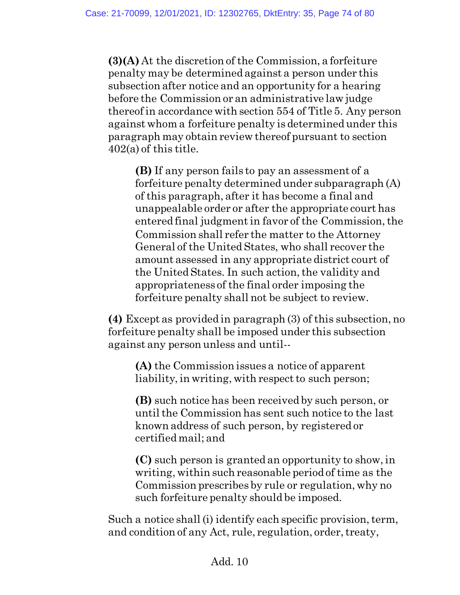**(3)(A)** At the discretion of the Commission, a forfeiture penalty may be determined against a person under this subsection after notice and an opportunity for a hearing before the Commission or an administrative law judge thereof in accordance with section 554 of Title 5. Any person against whom a forfeiture penalty is determined under this paragraph may obtain review thereof pursuant to section 402(a) of this title.

**(B)** If any person fails to pay an assessment of a forfeiture penalty determined under subparagraph (A) of this paragraph, after it has become a final and unappealable order or after the appropriate court has entered final judgment in favor of the Commission, the Commission shall refer the matter to the Attorney General of the United States, who shall recover the amount assessed in any appropriate district court of the United States. In such action, the validity and appropriateness of the final order imposing the forfeiture penalty shall not be subject to review.

**(4)** Except as provided in paragraph (3) of this subsection, no forfeiture penalty shall be imposed under this subsection against any person unless and until--

**(A)** the Commission issues a notice of apparent liability, in writing, with respect to such person;

**(B)** such notice has been received by such person, or until the Commission has sent such notice to the last known address of such person, by registered or certified mail; and

**(C)** such person is granted an opportunity to show, in writing, within such reasonable period of time as the Commission prescribes by rule or regulation, why no such forfeiture penalty should be imposed.

Such a notice shall (i) identify each specific provision, term, and condition of any Act, rule, regulation, order, treaty,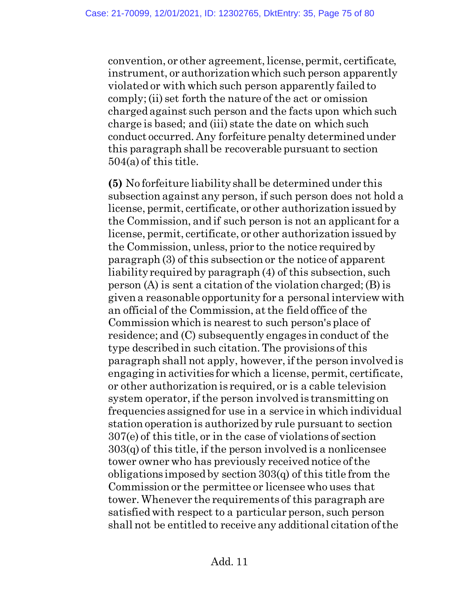convention, or other agreement, license, permit, certificate, instrument, or authorization which such person apparently violated or with which such person apparently failed to comply; (ii) set forth the nature of the act or omission charged against such person and the facts upon which such charge is based; and (iii) state the date on which such conduct occurred. Any forfeiture penalty determined under this paragraph shall be recoverable pursuant to section 504(a) of this title.

**(5)** No forfeiture liability shall be determined under this subsection against any person, if such person does not hold a license, permit, certificate, or other authorization issued by the Commission, and if such person is not an applicant for a license, permit, certificate, or other authorization issued by the Commission, unless, prior to the notice required by paragraph (3) of this subsection or the notice of apparent liability required by paragraph (4) of this subsection, such person (A) is sent a citation of the violation charged; (B) is given a reasonable opportunity for a personal interview with an official of the Commission, at the field office of the Commission which is nearest to such person's place of residence; and (C) subsequently engages in conduct of the type described in such citation. The provisions of this paragraph shall not apply, however, if the person involved is engaging in activities for which a license, permit, certificate, or other authorization is required, or is a cable television system operator, if the person involved is transmitting on frequencies assigned for use in a service in which individual station operation is authorized by rule pursuant to section 307(e) of this title, or in the case of violations of section 303(q) of this title, if the person involved is a nonlicensee tower owner who has previously received notice of the obligations imposed by section 303(q) of this title from the Commission or the permittee or licensee who uses that tower. Whenever the requirements of this paragraph are satisfied with respect to a particular person, such person shall not be entitled to receive any additional citation of the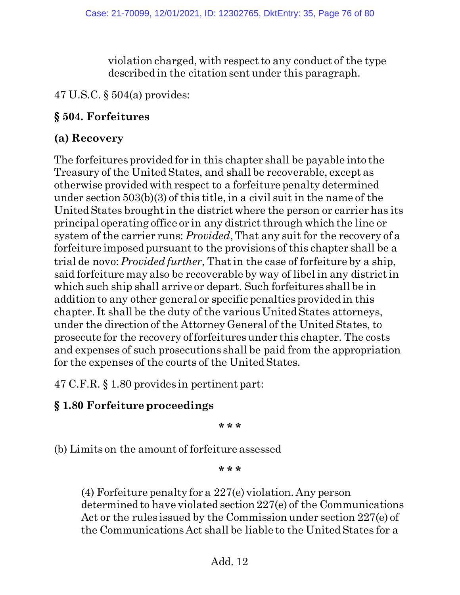violation charged, with respect to any conduct of the type described in the citation sent under this paragraph.

47 U.S.C. § 504(a) provides:

# **§ 504. Forfeitures**

# **(a) Recovery**

The forfeitures provided for in this chapter shall be payable into the Treasury of the United States, and shall be recoverable, except as otherwise provided with respect to a forfeiture penalty determined under section 503(b)(3) of this title, in a civil suit in the name of the United States brought in the district where the person or carrier has its principal operating office or in any district through which the line or system of the carrier runs: *Provided*, That any suit for the recovery of a forfeiture imposed pursuant to the provisions of this chapter shall be a trial de novo: *Provided further*, That in the case of forfeiture by a ship, said forfeiture may also be recoverable by way of libel in any district in which such ship shall arrive or depart. Such forfeitures shall be in addition to any other general or specific penalties provided in this chapter. It shall be the duty of the various United States attorneys, under the direction of the Attorney General of the United States, to prosecute for the recovery of forfeitures under this chapter. The costs and expenses of such prosecutions shall be paid from the appropriation for the expenses of the courts of the United States.

47 C.F.R. § 1.80 provides in pertinent part:

# **§ 1.80 Forfeiture proceedings**

**\* \* \***

(b) Limits on the amount of forfeiture assessed

**\* \* \***

(4) Forfeiture penalty for a 227(e) violation. Any person determined to have violated section 227(e) of the Communications Act or the rules issued by the Commission under section 227(e) of the Communications Act shall be liable to the United States for a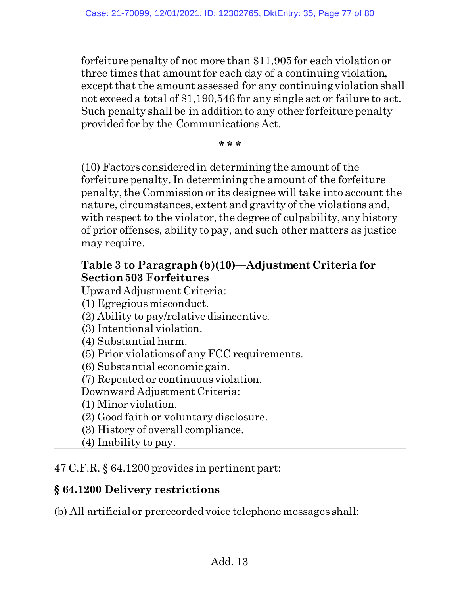forfeiture penalty of not more than \$11,905 for each violation or three times that amount for each day of a continuing violation, except that the amount assessed for any continuing violation shall not exceed a total of \$1,190,546 for any single act or failure to act. Such penalty shall be in addition to any other forfeiture penalty provided for by the Communications Act.

**\* \* \***

(10) Factors considered in determining the amount of the forfeiture penalty. In determining the amount of the forfeiture penalty, the Commission or its designee will take into account the nature, circumstances, extent and gravity of the violations and, with respect to the violator, the degree of culpability, any history of prior offenses, ability to pay, and such other matters as justice may require.

### **Table 3 to Paragraph (b)(10)—Adjustment Criteria for Section 503 Forfeitures**

Upward Adjustment Criteria:

- (1) Egregious misconduct.
- (2) Ability to pay/relative disincentive.
- (3) Intentional violation.
- (4) Substantial harm.
- (5) Prior violations of any FCC requirements.
- (6) Substantial economic gain.
- (7) Repeated or continuous violation.
- Downward Adjustment Criteria:
- (1) Minor violation.
- (2) Good faith or voluntary disclosure.
- (3) History of overall compliance.
- (4) Inability to pay.

## 47 C.F.R. § 64.1200 provides in pertinent part:

## **§ 64.1200 Delivery restrictions**

(b) All artificial or prerecorded voice telephone messages shall: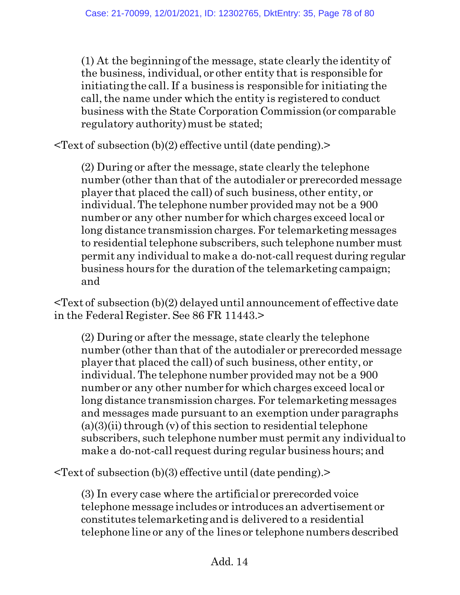(1) At the beginning of the message, state clearly the identity of the business, individual, or other entity that is responsible for initiating the call. If a business is responsible for initiating the call, the name under which the entity is registered to conduct business with the State Corporation Commission (or comparable regulatory authority) must be stated;

 $\langle$ Text of subsection (b)(2) effective until (date pending).

(2) During or after the message, state clearly the telephone number (other than that of the autodialer or prerecorded message player that placed the call) of such business, other entity, or individual. The telephone number provided may not be a 900 number or any other number for which charges exceed local or long distance transmission charges. For telemarketing messages to residential telephone subscribers, such telephone number must permit any individual to make a do-not-call request during regular business hours for the duration of the telemarketing campaign; and

<Text of subsection (b)(2) delayed until announcement of effective date in the Federal Register. See 86 FR 11443.>

(2) During or after the message, state clearly the telephone number (other than that of the autodialer or prerecorded message player that placed the call) of such business, other entity, or individual. The telephone number provided may not be a 900 number or any other number for which charges exceed local or long distance transmission charges. For telemarketing messages and messages made pursuant to an exemption under paragraphs  $(a)(3)(ii)$  through  $(v)$  of this section to residential telephone subscribers, such telephone number must permit any individual to make a do-not-call request during regular business hours; and

<Text of subsection (b)(3) effective until (date pending).>

(3) In every case where the artificial or prerecorded voice telephone message includes or introduces an advertisement or constitutes telemarketing and is delivered to a residential telephone line or any of the lines or telephone numbers described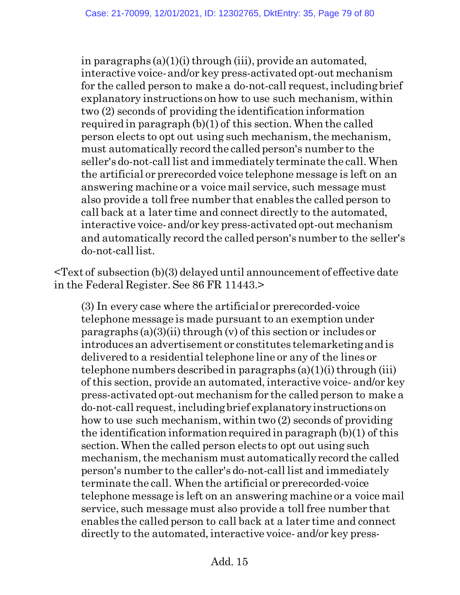in paragraphs (a)(1)(i) through (iii), provide an automated, interactive voice-and/or key press-activated opt-out mechanism for the called person to make a do-not-call request, including brief explanatory instructions on how to use such mechanism, within two (2) seconds of providing the identification information required in paragraph (b)(1) of this section. When the called person elects to opt out using such mechanism, the mechanism, must automatically record the called person's number to the seller's do-not-call list and immediately terminate the call. When the artificial or prerecorded voice telephone message is left on an answering machine or a voice mail service, such message must also provide a toll free number that enables the called person to call back at a later time and connect directly to the automated, interactive voice-and/or key press-activated opt-out mechanism and automatically record the called person's number to the seller's do-not-call list.

<Text of subsection (b)(3) delayed until announcement of effective date in the Federal Register. See 86 FR 11443.>

(3) In every case where the artificial or prerecorded-voice telephone message is made pursuant to an exemption under paragraphs  $(a)(3)(ii)$  through  $(v)$  of this section or includes or introduces an advertisement or constitutes telemarketing and is delivered to a residential telephone line or any of the lines or telephone numbers described in paragraphs (a)(1)(i) through (iii) of this section, provide an automated, interactive voice- and/or key press-activated opt-out mechanism for the called person to make a do-not-call request, including brief explanatory instructions on how to use such mechanism, within two (2) seconds of providing the identification information required in paragraph (b)(1) of this section. When the called person elects to opt out using such mechanism, the mechanism must automatically record the called person's number to the caller's do-not-call list and immediately terminate the call. When the artificial or prerecorded-voice telephone message is left on an answering machine or a voice mail service, such message must also provide a toll free number that enables the called person to call back at a later time and connect directly to the automated, interactive voice- and/or key press